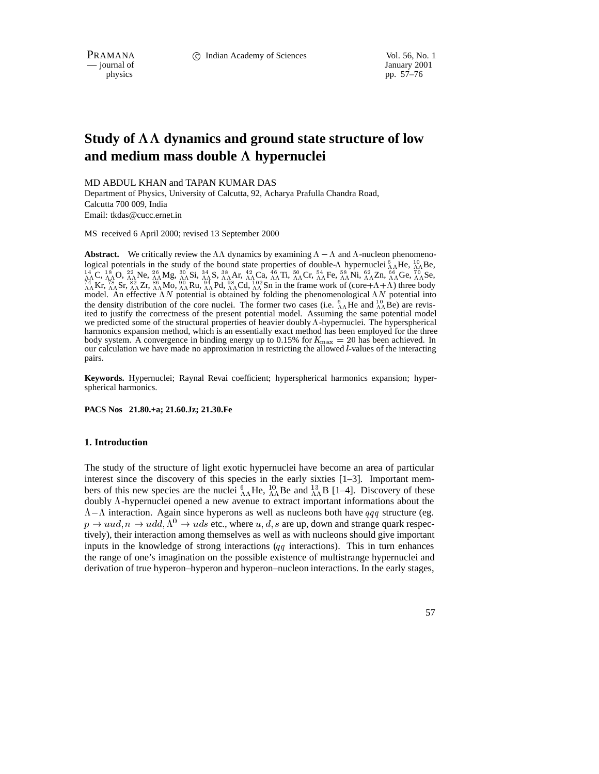— journal of

physics pp. 57–76

# **Study of dynamics and ground state structure of low and medium mass double hypernuclei**

MD ABDUL KHAN and TAPAN KUMAR DAS

Department of Physics, University of Calcutta, 92, Acharya Prafulla Chandra Road, Calcutta 700 009, India Email: tkdas@cucc.ernet.in

MS received 6 April 2000; revised 13 September 2000

**Abstract.** We critically review the  $\Lambda\Lambda$  dynamics by examining  $\Lambda - \Lambda$  and  $\Lambda$ -nucleon phenomenological potentials in the study of the bound state properties of double- $\Lambda$  hypernuclei  ${}_{0}^{6}\Lambda$ He,  ${}_{0}^{10}\Lambda$ Be,  $^{14}_{\Lambda\Lambda}$ C,  $^{18}_{\Lambda\Lambda}$ O,  $^{22}_{\Lambda\Lambda}$ Ne,  $^{26}_{\Lambda\Lambda}$ Mg,  $^{30}_{\Lambda\Lambda}$ Si,  $^{34}_{\Lambda\Lambda}$ S,  $^{38}_{\Lambda\Lambda}$ Ar,  $^{42}_{\Lambda\Lambda}$ Ca,  $^{46}_{\Lambda\Lambda}$ Ti,  $^{50}_{\Lambda\Lambda}$ Cr,  $^{54}_{\Lambda\Lambda}$ Fe,  $^{88}_{\Lambda\Lambda}$ Ni,  $^{62}_{\Lambda\Lambda}$ Zn,  $^{64}_{\Lambda\Lambda}$ Ge,  $^{70}_{\Lambda\Lambda}$ Se,  $^{14}_{\Lambda\Lambda}$ Kr,  $^{8}_{\Lambda\Lambda}$ Sr,  $^{82}_{\Lambda\Lambda}$ Zr,  $^{80}_{\Lambda\Lambda}$ Mo,  $^{94}_{\Lambda\Lambda}$ Ru,  $^{94}_{\Lambda\Lambda}$ Rd,  $^{102}_{\Lambda\Lambda}$ Sn in the frame work of (core+ $\Lambda$ + $\Lambda$ ) three body model. An effective  $\Lambda N$  potential is obtained by folding the phenomenological  $\Lambda N$  potential into the density distribution of the core nuclei. The former two cases (i.e.  ${}^{6}_{\Lambda\Lambda}$ He and  ${}^{10}_{\Lambda\Lambda}$ Be) are revisited to justify the correctness of the present potential model. Assuming the same potential model we predicted some of the structural properties of heavier doubly  $\Lambda$ -hypernuclei. The hyperspherical harmonics expansion method, which is an essentially exact method has been employed for the three body system. A convergence in binding energy up to 0.15% for  $K_{\text{max}} = 20$  has been achieved. In our calculation we have made no approximation in restricting the allowed l-values of the interacting pairs.

**Keywords.** Hypernuclei; Raynal Revai coefficient; hyperspherical harmonics expansion; hyperspherical harmonics.

**PACS Nos 21.80.+a; 21.60.Jz; 21.30.Fe**

#### **1. Introduction**

The study of the structure of light exotic hypernuclei have become an area of particular interest since the discovery of this species in the early sixties [1–3]. Important members of this new species are the nuclei  $^{6}_{AA}$ He,  $^{10}_{AA}$ Be and  $^{13}_{AA}$ B [1–4]. Discovery of these doubly  $\Lambda$ -hypernuclei opened a new avenue to extract important informations about the  $\Lambda - \Lambda$  interaction. Again since hyperons as well as nucleons both have qqq structure (eg.  $p \rightarrow uud, n \rightarrow udd, \Lambda^0 \rightarrow uds$  etc., where u, d, s are up, down and strange quark respectively), their interaction among themselves as well as with nucleons should give important inputs in the knowledge of strong interactions  $(q\bar{q})$  interactions). This in turn enhances the range of one's imagination on the possible existence of multistrange hypernuclei and derivation of true hyperon–hyperon and hyperon–nucleon interactions. In the early stages,

57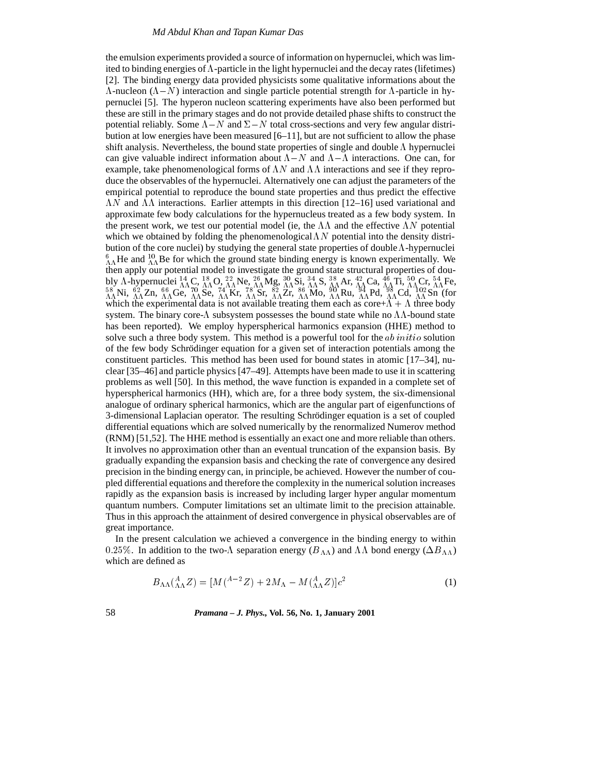the emulsion experiments provided a source of information on hypernuclei, which was limited to binding energies of  $\Lambda$ -particle in the light hypernuclei and the decay rates (lifetimes) [2]. The binding energy data provided physicists some qualitative informations about the  $\Lambda$ -nucleon ( $\Lambda$ - $N$ ) interaction and single particle potential strength for  $\Lambda$ -particle in hypernuclei [5]. The hyperon nucleon scattering experiments have also been performed but these are still in the primary stages and do not provide detailed phase shifts to construct the potential reliably. Some  $\Lambda - N$  and  $\Sigma - N$  total cross-sections and very few angular distribution at low energies have been measured [6–11], but are not sufficient to allow the phase shift analysis. Nevertheless, the bound state properties of single and double  $\Lambda$  hypernuclei can give valuable indirect information about  $\Lambda - N$  and  $\Lambda - \Lambda$  interactions. One can, for example, take phenomenological forms of  $\Lambda N$  and  $\Lambda\Lambda$  interactions and see if they reproduce the observables of the hypernuclei. Alternatively one can adjust the parameters of the empirical potential to reproduce the bound state properties and thus predict the effective  $\Lambda N$  and  $\Lambda\Lambda$  interactions. Earlier attempts in this direction [12–16] used variational and approximate few body calculations for the hypernucleus treated as a few body system. In the present work, we test our potential model (ie, the  $\Lambda\Lambda$  and the effective  $\Lambda N$  potential which we obtained by folding the phenomenological  $\Lambda N$  potential into the density distribution of the core nuclei) by studying the general state properties of double  $\Lambda$ -hypernuclei  $^{6}_{AA}$  He and  $^{10}_{AA}$  Be for which the ground state binding energy is known experimentally. We then apply our potential model to investigate the ground state structural properties of doubly  $\Lambda$ -hypernuclei  ${}^{14}_{\Lambda\Lambda}$ C,  ${}^{18}_{\Lambda\Lambda}$ O,  ${}^{22}_{\Lambda\Lambda}$ Ne,  ${}^{36}_{\Lambda\Lambda}$ Ms,  ${}^{34}_{\Lambda\Lambda}$ S,  ${}^{38}_{\Lambda\Lambda}$ Ar,  ${}^{42}_{\Lambda\Lambda}$ Ca,  ${}^{46}_{\Lambda}$ Ti,  ${}^{50}_{\Lambda\Lambda}$ Cr,  ${}^{54}_{\Lambda\Lambda}$ Fe,  ${}^{58}_{\Lambda\Lambda}$ Ni,  ${}^{62}_{\Lambda\Lambda}$ Zn,  ${}^{66}_{\Lambda\Lambda}$ G which the experimental data is not available treating them each as core+ $\Lambda + \Lambda$  three body system. The binary core- $\Lambda$  subsystem possesses the bound state while no  $\Lambda\Lambda$ -bound state has been reported). We employ hyperspherical harmonics expansion (HHE) method to solve such a three body system. This method is a powerful tool for the  $ab initio$  solution of the few body Schrödinger equation for a given set of interaction potentials among the constituent particles. This method has been used for bound states in atomic [17–34], nuclear [35–46] and particle physics [47–49]. Attempts have been made to use it in scattering problems as well [50]. In this method, the wave function is expanded in a complete set of hyperspherical harmonics (HH), which are, for a three body system, the six-dimensional analogue of ordinary spherical harmonics, which are the angular part of eigenfunctions of 3-dimensional Laplacian operator. The resulting Schrödinger equation is a set of coupled differential equations which are solved numerically by the renormalized Numerov method (RNM) [51,52]. The HHE method is essentially an exact one and more reliable than others. It involves no approximation other than an eventual truncation of the expansion basis. By gradually expanding the expansion basis and checking the rate of convergence any desired precision in the binding energy can, in principle, be achieved. However the number of coupled differential equations and therefore the complexity in the numerical solution increases rapidly as the expansion basis is increased by including larger hyper angular momentum quantum numbers. Computer limitations set an ultimate limit to the precision attainable. Thus in this approach the attainment of desired convergence in physical observables are of great importance.

In the present calculation we achieved a convergence in the binding energy to within 0.25%. In addition to the two- $\Lambda$  separation energy ( $B_{\Lambda\Lambda}$ ) and  $\Lambda\Lambda$  bond energy ( $\Delta B_{\Lambda\Lambda}$ ) which are defined as

$$
B_{\Lambda\Lambda} \left( {}_{\Lambda\Lambda}^{A} Z \right) = [M (A^{-2} Z) + 2M_{\Lambda} - M ({}_{\Lambda\Lambda}^{A} Z)] c^{2}
$$
\n(1)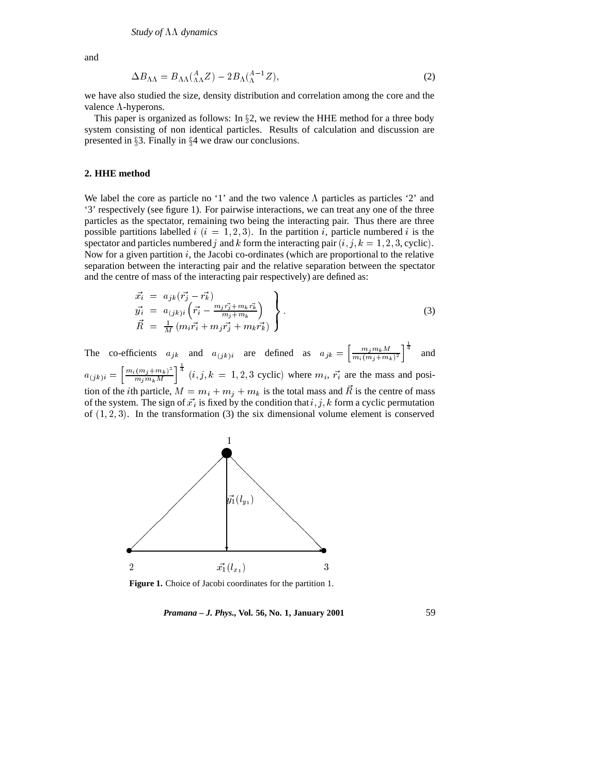and

$$
\Delta B_{\Lambda\Lambda} = B_{\Lambda\Lambda} \left( {}_{\Lambda\Lambda}^{A} Z \right) - 2 B_{\Lambda} \left( {}_{\Lambda}^{A-1} Z \right), \tag{2}
$$

we have also studied the size, density distribution and correlation among the core and the valence  $\Lambda$ -hyperons.

This paper is organized as follows: In  $\S2$ , we review the HHE method for a three body system consisting of non identical particles. Results of calculation and discussion are presented in  $\S 3$ . Finally in  $\S 4$  we draw our conclusions.

#### **2. HHE method**

We label the core as particle no '1' and the two valence  $\Lambda$  particles as particles '2' and '3' respectively (see figure 1). For pairwise interactions, we can treat any one of the three particles as the spectator, remaining two being the interacting pair. Thus there are three possible partitions labelled i  $(i = 1, 2, 3)$ . In the partition i, particle numbered i is the spectator and particles numbered j and k form the interacting pair  $(i, j, k = 1, 2, 3,$  cyclic). Now for a given partition  $i$ , the Jacobi co-ordinates (which are proportional to the relative separation between the interacting pair and the relative separation between the spectator and the centre of mass of the interacting pair respectively) are defined as:

$$
\vec{x}_i = a_{jk} (\vec{r}_j - \vec{r}_k) \n\vec{y}_i = a_{(jk)i} (\vec{r}_i - \frac{m_j \vec{r}_j + m_k \vec{r}_k}{m_j + m_k}) \n\vec{R} = \frac{1}{M} (m_i \vec{r}_i + m_j \vec{r}_j + m_k \vec{r}_k)
$$
\n(3)

The co-efficients  $a_{jk}$  and  $a_{(jk)i}$  are defined as  $a_{jk} = \left[\frac{m_j m_k M}{m_i (m_j + m_k)^2}\right]^{\frac{1}{4}}$  and  $\sim$  ii  $m \cdot m \cdot M$  $\left\lceil m_i(m_i+m_k)^2\right\rceil$ <sup>4</sup> mjmkM  $\int_{0}^{\overline{4}} (i, j, k = 1, 2, 3 \text{ cyclic})$  where  $m_i$ ,  $\vec{r_i}$  are the mass and position of the *i*th particle,  $M = m_i + m_j + m_k$  is the total mass and  $\vec{R}$  is the centre of mass of the system. The sign of  $\vec{x_i}$  is fixed by the condition that  $i, j, k$  form a cyclic permutation of  $(1, 2, 3)$ . In the transformation  $(3)$  the six dimensional volume element is conserved



**Figure 1.** Choice of Jacobi coordinates for the partition 1.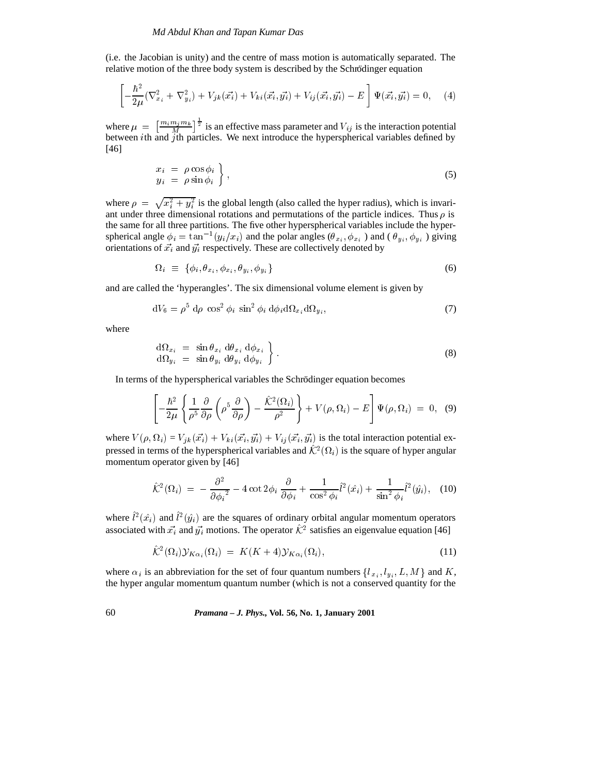(i.e. the Jacobian is unity) and the centre of mass motion is automatically separated. The relative motion of the three body system is described by the Schrödinger equation

$$
\left[ -\frac{\hbar^2}{2\mu} (\nabla_{x_i}^2 + \nabla_{y_i}^2) + V_{jk}(\vec{x_i}) + V_{ki}(\vec{x_i}, \vec{y_i}) + V_{ij}(\vec{x_i}, \vec{y_i}) - E \right] \Psi(\vec{x_i}, \vec{y_i}) = 0, \quad (4)
$$

where  $\mu = \left[\frac{m_i m_j m_k}{M}\right]^{\frac{1}{2}}$  is a  $\frac{1}{2}$  is an effective mass parameter and  $V_{ij}$  is the interaction potential between ith and jth particles. We next introduce the hyperspherical variables defined by [46]

$$
\begin{array}{rcl}\nx_i &=& \rho \cos \phi_i \\
y_i &=& \rho \sin \phi_i\n\end{array}\n\bigg\},\n\tag{5}
$$

where  $\rho = \sqrt{x_i^2 + y_i^2}$  is the global length (also called the hyper radius), which is invariant under three dimensional rotations and permutations of the particle indices. Thus  $\rho$  is the same for all three partitions. The five other hyperspherical variables include the hyperspherical angle  $\phi_i = \tan^{-1}(y_i/x_i)$  and the polar angles  $(\theta_{x_i}, \phi_{x_i})$  and  $(\theta_{y_i}, \phi_{y_i})$  giving orientations of  $\vec{x_i}$  and  $\vec{y_i}$  respectively. These are collectively denoted by

$$
\Omega_i \equiv \{ \phi_i, \theta_{x_i}, \phi_{x_i}, \theta_{y_i}, \phi_{y_i} \} \tag{6}
$$

and are called the 'hyperangles'. The six dimensional volume element is given by

$$
dV_6 = \rho^5 d\rho \cos^2 \phi_i \sin^2 \phi_i d\phi_i d\Omega_{x_i} d\Omega_{y_i}, \qquad (7)
$$

where

$$
\begin{array}{rcl}\nd\Omega_{x_i} &=& \sin \theta_{x_i} \, d\theta_{x_i} \, d\phi_{x_i} \\
d\Omega_{y_i} &=& \sin \theta_{y_i} \, d\theta_{y_i} \, d\phi_{y_i}\n\end{array}
$$
\n(8)

In terms of the hyperspherical variables the Schrödinger equation becomes

$$
\left[-\frac{\hbar^2}{2\mu}\left\{\frac{1}{\rho^5}\frac{\partial}{\partial\rho}\left(\rho^5\frac{\partial}{\partial\rho}\right)-\frac{\hat{K}^2(\Omega_i)}{\rho^2}\right\}+V(\rho,\Omega_i)-E\right]\Psi(\rho,\Omega_i) = 0, \quad (9)
$$

where  $V(\rho, \Omega_i) = V_{ik}(\vec{x_i}) + V_{ki}(\vec{x_i}, \vec{y_i}) + V_{ij}(\vec{x_i}, \vec{y_i})$  is the total interaction potential expressed in terms of the hyperspherical variables and  $\mathcal{K}^2(\Omega_i)$  is the square of hyper angular momentum operator given by [46]

$$
\hat{\mathcal{K}}^2(\Omega_i) = -\frac{\partial^2}{\partial \phi_i^2} - 4 \cot 2\phi_i \frac{\partial}{\partial \phi_i} + \frac{1}{\cos^2 \phi_i} \hat{l}^2(\hat{x}_i) + \frac{1}{\sin^2 \phi_i} \hat{l}^2(\hat{y}_i), \quad (10)
$$

where  $l^2(\hat{x}_i)$  and  $l^2(\hat{y}_i)$  are the squares of ordinary orbital angular momentum operators associated with  $\vec{x_i}$  and  $\vec{y_i}$  motions. The operator  $K^2$  satisfies an eigenvalue equation [46]

$$
\hat{\mathcal{K}}^2(\Omega_i)\mathcal{Y}_{K\alpha_i}(\Omega_i) = K(K+4)\mathcal{Y}_{K\alpha_i}(\Omega_i),\tag{11}
$$

where  $\alpha_i$  is an abbreviation for the set of four quantum numbers  $\{l_{x_i}, l_{y_i}, L, M\}$  and K, the hyper angular momentum quantum number (which is not a conserved quantity for the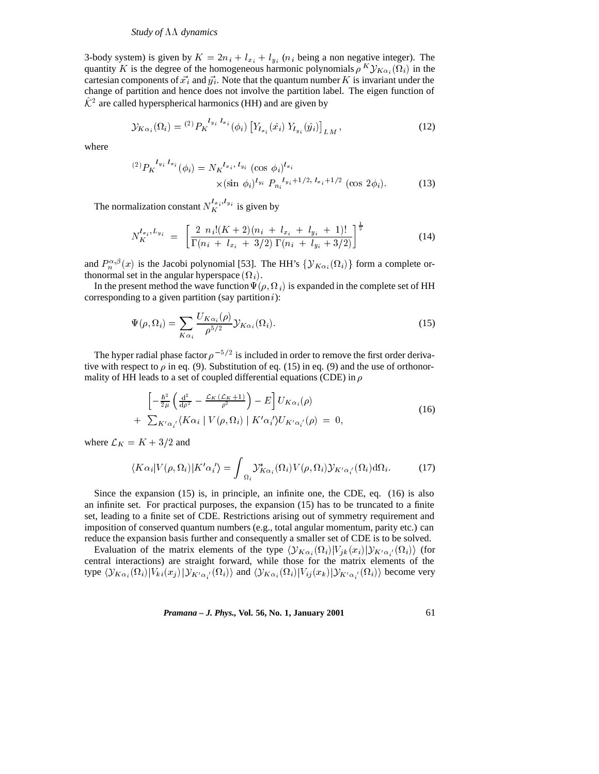3-body system) is given by  $K = 2n_i + l_{x_i} + l_{y_i}$  ( $n_i$  being a non negative integer). The quantity K is the degree of the homogeneous harmonic polynomials  $\rho^K Y_{K\alpha_i}(\Omega_i)$  in the cartesian components of  $\vec{x}_i$  and  $\vec{y}_i$ . Note that the quantum number K is invariant under the change of partition and hence does not involve the partition label. The eigen function of  $K^2$  are called hyperspherical harmonics (HH) and are given by

$$
\mathcal{Y}_{K\alpha_i}(\Omega_i) = {}^{(2)}P_K{}^{l_{y_i}l_{x_i}}(\phi_i) \left[ Y_{l_{x_i}}(\hat{x}_i) \ Y_{l_{y_i}}(\hat{y}_i) \right]_{LM}, \tag{12}
$$

where

$$
{}^{(2)}P_{K}{}^{l_{y_{i}}l_{x_{i}}}(\phi_{i}) = N_{K}{}^{l_{x_{i}}, l_{y_{i}}} (\cos \phi_{i})^{l_{x_{i}}} \times (\sin \phi_{i})^{l_{y_{i}}} P_{n_{i}}{}^{l_{y_{i}+1/2, l_{x_{i}+1/2}}} (\cos 2\phi_{i}). \tag{13}
$$

The normalization constant  $N_K^{i_x, i_y i}$  is given by

$$
N_K^{l_{x_i},L_{y_i}} = \left[\frac{2 \ n_i! (K+2)(n_i + l_{x_i} + l_{y_i} + 1)!}{\Gamma(n_i + l_{x_i} + 3/2) \Gamma(n_i + l_{y_i} + 3/2)}\right]^{\frac{1}{2}}
$$
(14)

and  $P_n^{\alpha,\beta}(x)$  is the Jacobi polynomial [53]. The HH's  $\{ {\cal Y}_{K\alpha_i}(\Omega_i) \}$  form a complete orthonormal set in the angular hyperspace  $(\Omega_i)$ .

In the present method the wave function  $\Psi(\rho, \Omega_i)$  is expanded in the complete set of HH corresponding to a given partition (say partition  $i$ ):

$$
\Psi(\rho,\Omega_i) = \sum_{K\alpha_i} \frac{U_{K\alpha_i}(\rho)}{\rho^{5/2}} \mathcal{Y}_{K\alpha_i}(\Omega_i). \tag{15}
$$

The hyper radial phase factor  $\rho^{-5/2}$  is included in order to remove the first order derivative with respect to  $\rho$  in eq. (9). Substitution of eq. (15) in eq. (9) and the use of orthonormality of HH leads to a set of coupled differential equations (CDE) in  $\rho$ 

$$
\begin{aligned}\n\left[ -\frac{\hbar^2}{2\mu} \left( \frac{\mathrm{d}^2}{\mathrm{d}\rho^2} - \frac{\mathcal{L}_K(\mathcal{L}_K + 1)}{\rho^2} \right) - E \right] U_{K\alpha_i}(\rho) \\
+ \sum_{K'\alpha_i'} \langle K\alpha_i \mid V(\rho, \Omega_i) \mid K'\alpha_i' \rangle U_{K'\alpha_i'}(\rho) = 0,\n\end{aligned} \tag{16}
$$

where  $\mathcal{L}_K = K + 3/2$  and

$$
\langle K\alpha_i|V(\rho,\Omega_i)|K'\alpha_i'\rangle = \int_{\Omega_i} \mathcal{Y}_{K\alpha_i}^*(\Omega_i)V(\rho,\Omega_i)\mathcal{Y}_{K'\alpha_i'}(\Omega_i)\mathrm{d}\Omega_i.
$$
 (17)

Since the expansion (15) is, in principle, an infinite one, the CDE, eq. (16) is also an infinite set. For practical purposes, the expansion (15) has to be truncated to a finite set, leading to a finite set of CDE. Restrictions arising out of symmetry requirement and imposition of conserved quantum numbers (e.g., total angular momentum, parity etc.) can reduce the expansion basis further and consequently a smaller set of CDE is to be solved.

Evaluation of the matrix elements of the type  $\langle y_{K\alpha_i}(\Omega_i)|V_{jk}(x_i)|y_{K'\alpha_i'}(\Omega_i)\rangle$  (for central interactions) are straight forward, while those for the matrix elements of the type  $\langle y_{K\alpha_i}(\Omega_i)|V_{ki}(x_j)|y_{K'\alpha_{i}'}(\Omega_i)\rangle$  and  $\langle y_{K\alpha_i}(\Omega_i)|V_{ij}(x_k)|y_{K'\alpha_{i}'}(\Omega_i)\rangle$  become very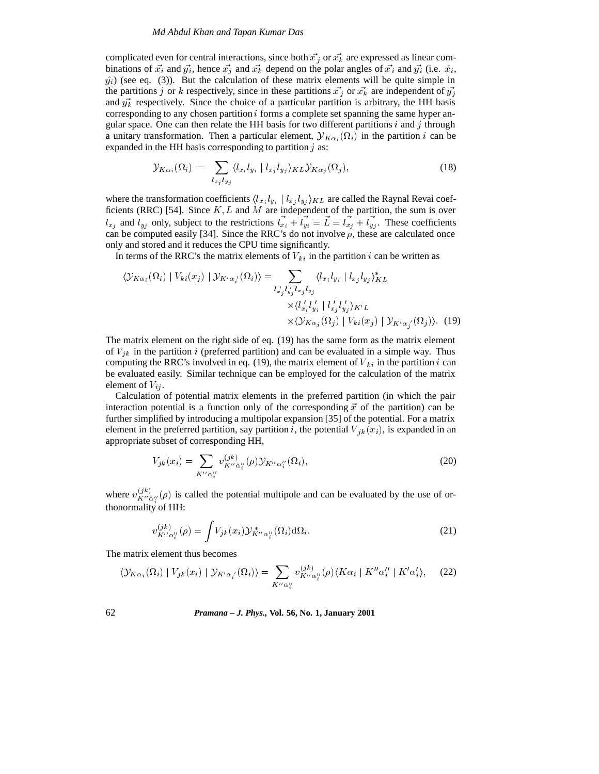#### *Md Abdul Khan and Tapan Kumar Das*

complicated even for central interactions, since both  $\vec{x_j}$  or  $\vec{x_k}$  are expressed as linear combinations of  $\vec{x}_i$  and  $\vec{y}_i$ , hence  $\vec{x}_j$  and  $\vec{x}_k$  depend on the polar angles of  $\vec{x}_i$  and  $\vec{y}_i$  (i.e.  $\hat{x}_i$ ,  $\hat{y}_i$  (see eq. (3)). But the calculation of these matrix elements will be quite simple in the partitions j or k respectively, since in these partitions  $\vec{x_j}$  or  $\vec{x_k}$  are independent of  $\vec{y_j}$ and  $\vec{y}_k^*$  respectively. Since the choice of a particular partition is arbitrary, the HH basis corresponding to any chosen partition  $i$  forms a complete set spanning the same hyper angular space. One can then relate the HH basis for two different partitions  $i$  and  $j$  through a unitary transformation. Then a particular element,  ${\cal Y}_{K\alpha_i}(\Omega_i)$  in the partition i can be expanded in the HH basis corresponding to partition  $j$  as:

$$
\mathcal{Y}_{K\alpha_i}(\Omega_i) = \sum_{l_{x_j}l_{y_j}} \langle l_{x_i}l_{y_i} | l_{x_j}l_{y_j} \rangle_{KL} \mathcal{Y}_{K\alpha_j}(\Omega_j), \qquad (18)
$$

where the transformation coefficients  $\langle l_{x_i} l_{y_i} | l_{x_j} l_{y_j} \rangle_{KL}$  are called the Raynal Revai coefficients (RRC) [54]. Since  $K, L$  and  $M$  are independent of the partition, the sum is over  $l_{x_i}$  and  $l_{y_i}$  only, subject to the restrictions  $l_{x_i} + l_{y_i} = L = l_{x_i} + l_{y_i}$ . These coefficients can be computed easily [34]. Since the RRC's do not involve  $\rho$ , these are calculated once only and stored and it reduces the CPU time significantly.

In terms of the RRC's the matrix elements of  $V_{ki}$  in the partition i can be written as

$$
\langle \mathcal{Y}_{K\alpha_i}(\Omega_i) | V_{ki}(x_j) | \mathcal{Y}_{K'\alpha_i}(\Omega_i) \rangle = \sum_{l'_{x'_j} l'_{y'_j} l_{x_j} l_{y_j}} \langle l_{x_i} l_{y_i} | l_{x_j} l_{y_j} \rangle_{KL}^{\times} \langle l'_{x'_i} l'_{y'_i} | l'_{x'_j} l'_{y'_j} \rangle_{K'L}
$$

$$
\times \langle \mathcal{Y}_{K\alpha_j}(\Omega_j) | V_{ki}(x_j) | \mathcal{Y}_{K'\alpha_i}(\Omega_j) \rangle. (19)
$$

The matrix element on the right side of eq. (19) has the same form as the matrix element of  $V_{ik}$  in the partition i (preferred partition) and can be evaluated in a simple way. Thus computing the RRC's involved in eq. (19), the matrix element of  $V_{ki}$  in the partition i can be evaluated easily. Similar technique can be employed for the calculation of the matrix element of  $V_{ij}$ .

Calculation of potential matrix elements in the preferred partition (in which the pair interaction potential is a function only of the corresponding  $\vec{x}$  of the partition) can be further simplified by introducing a multipolar expansion [35] of the potential. For a matrix element in the preferred partition, say partition i, the potential  $V_{ik}(x_i)$ , is expanded in an appropriate subset of corresponding HH,

$$
V_{jk}(x_i) = \sum_{K'' \alpha_i''} v_{K'' \alpha_i''}^{(jk)}(\rho) \mathcal{Y}_{K'' \alpha_i''}(\Omega_i),
$$
\n(20)

where  $v^{(j\kappa)}_{K''\alpha''_i}(\rho)$  is called the potential multipole and can be evaluated by the use of orthonormality of HH:

$$
v_{K''\alpha_i''}^{(jk)}(\rho) = \int V_{jk}(x_i) \mathcal{Y}_{K''\alpha_i''}^*(\Omega_i) d\Omega_i.
$$
 (21)

The matrix element thus becomes

$$
\langle \mathcal{Y}_{K\alpha_i}(\Omega_i) \mid V_{jk}(x_i) \mid \mathcal{Y}_{K'\alpha_i'}(\Omega_i) \rangle = \sum_{K''\alpha_i''} v_{K''\alpha_i''}^{(jk)}(\rho) \langle K\alpha_i \mid K''\alpha_i'' \mid K'\alpha_i' \rangle, \tag{22}
$$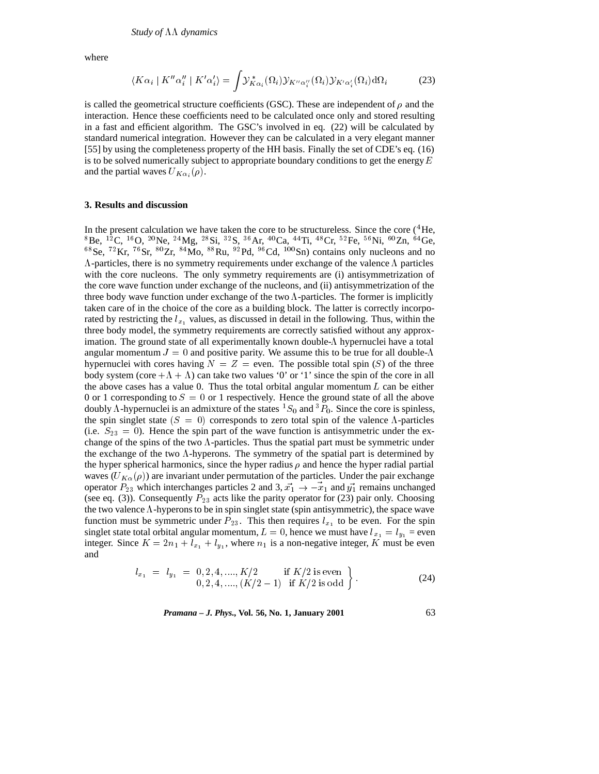where

$$
\langle K\alpha_i | K''\alpha''_i | K'\alpha'_i \rangle = \int \mathcal{Y}^*_{K\alpha_i}(\Omega_i) \mathcal{Y}_{K''\alpha''_i}(\Omega_i) \mathcal{Y}_{K'\alpha'_i}(\Omega_i) d\Omega_i \tag{23}
$$

is called the geometrical structure coefficients (GSC). These are independent of  $\rho$  and the interaction. Hence these coefficients need to be calculated once only and stored resulting in a fast and efficient algorithm. The GSC's involved in eq. (22) will be calculated by standard numerical integration. However they can be calculated in a very elegant manner [55] by using the completeness property of the HH basis. Finally the set of CDE's eq. (16) is to be solved numerically subject to appropriate boundary conditions to get the energy  $E$ and the partial waves  $U_{K\alpha_i}(\rho)$ .

#### **3. Results and discussion**

In the present calculation we have taken the core to be structureless. Since the core (<sup>4</sup>He,  ${}^{8}$ Be,  ${}^{12}$ C,  ${}^{16}$ O,  ${}^{20}$ Ne,  ${}^{24}$ Mg,  ${}^{28}$ Si,  ${}^{32}$ S,  ${}^{36}$ Ar,  ${}^{40}$ Ca,  ${}^{44}$ Ti,  ${}^{48}$ Cr,  ${}^{52}$ Fe,  ${}^{56}$ Ni,  ${}^{60}$ Zn,  ${}^{64}$ Ge, <sup>68</sup>Se, <sup>72</sup>Kr, <sup>76</sup>Sr, <sup>80</sup>Zr, <sup>84</sup>Mo, <sup>88</sup>Ru, <sup>92</sup>Pd, <sup>96</sup>Cd, <sup>100</sup>Sn) contains only nucleons and no  $\Lambda$ -particles, there is no symmetry requirements under exchange of the valence  $\Lambda$  particles with the core nucleons. The only symmetry requirements are (i) antisymmetrization of the core wave function under exchange of the nucleons, and (ii) antisymmetrization of the three body wave function under exchange of the two  $\Lambda$ -particles. The former is implicitly taken care of in the choice of the core as a building block. The latter is correctly incorporated by restricting the  $l_{x_1}$  values, as discussed in detail in the following. Thus, within the three body model, the symmetry requirements are correctly satisfied without any approximation. The ground state of all experimentally known double- $\Lambda$  hypernuclei have a total angular momentum  $J = 0$  and positive parity. We assume this to be true for all double- $\Lambda$ hypernuclei with cores having  $N = Z =$  even. The possible total spin (S) of the three body system (core  $+A + A$ ) can take two values '0' or '1' since the spin of the core in all the above cases has a value 0. Thus the total orbital angular momentum  $L$  can be either 0 or 1 corresponding to  $S = 0$  or 1 respectively. Hence the ground state of all the above doubly  $\Lambda$ -hypernuclei is an admixture of the states  ${}^{1}S_{0}$  and  ${}^{3}P_{0}$ . Since the core is spinless, the spin singlet state  $(S = 0)$  corresponds to zero total spin of the valence  $\Lambda$ -particles (i.e.  $S_{23} = 0$ ). Hence the spin part of the wave function is antisymmetric under the exchange of the spins of the two  $\Lambda$ -particles. Thus the spatial part must be symmetric under the exchange of the two  $\Lambda$ -hyperons. The symmetry of the spatial part is determined by the hyper spherical harmonics, since the hyper radius  $\rho$  and hence the hyper radial partial waves  $(U_{K\alpha}(\rho))$  are invariant under permutation of the particles. Under the pair exchange operator  $P_{23}$  which interchanges particles 2 and 3,  $\vec{x_1} \rightarrow -\vec{x_1}$  and  $\vec{y_1}$  remains unchanged (see eq. (3)). Consequently  $P_{23}$  acts like the parity operator for (23) pair only. Choosing the two valence  $\Lambda$ -hyperons to be in spin singlet state (spin antisymmetric), the space wave function must be symmetric under  $P_{23}$ . This then requires  $l_{x_1}$  to be even. For the spin singlet state total orbital angular momentum,  $L = 0$ , hence we must have  $l_{x_1} = l_{y_1}$  = even integer. Since  $K = 2n_1 + l_{x_1} + l_{y_1}$ , where  $n_1$  is a non-negative integer, K must be even and

$$
l_{x_1} = l_{y_1} = 0, 2, 4, \dots, K/2 \quad \text{if } K/2 \text{ is even} \quad (24)
$$
  
0, 2, 4, \dots, (K/2 - 1) if  $K/2 \text{ is odd}$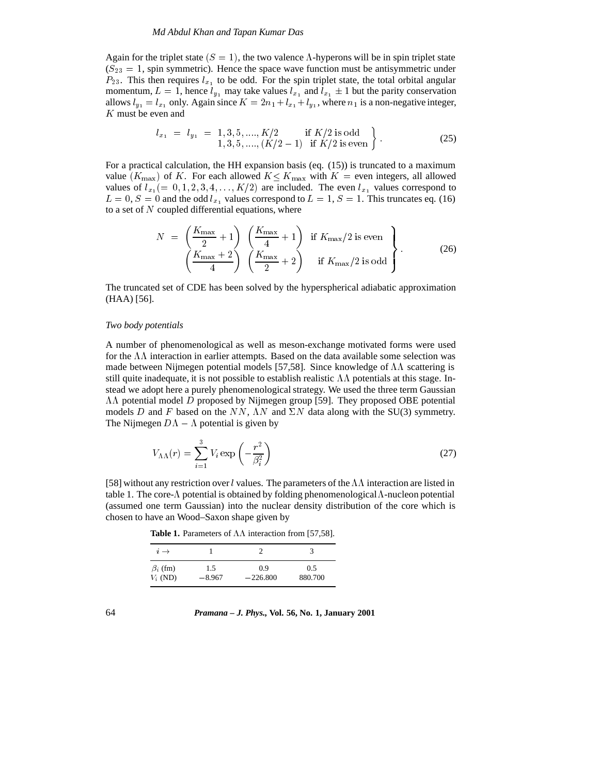#### *Md Abdul Khan and Tapan Kumar Das*

Again for the triplet state  $(S = 1)$ , the two valence  $\Lambda$ -hyperons will be in spin triplet state  $(S_{23} = 1,$  spin symmetric). Hence the space wave function must be antisymmetric under  $P_{23}$ . This then requires  $l_{x_1}$  to be odd. For the spin triplet state, the total orbital angular momentum,  $L = 1$ , hence  $l_{v_1}$  may take values  $l_{x_1}$  and  $l_{x_1} \pm 1$  but the parity conservation allows  $l_{y_1} = l_{x_1}$  only. Again since  $K = 2n_1 + l_{x_1} + l_{y_1}$ , where  $n_1$  is a non-negative integer, K must be even and

$$
l_{x_1} = l_{y_1} = 1, 3, 5, \dots, K/2 \quad \text{if } K/2 \text{ is odd} \\ 1, 3, 5, \dots, (K/2 - 1) \quad \text{if } K/2 \text{ is even} \end{cases} \tag{25}
$$

For a practical calculation, the HH expansion basis (eq. (15)) is truncated to a maximum value  $(K_{\text{max}})$  of K. For each allowed  $K \leq K_{\text{max}}$  with  $K =$  even integers, all allowed values of  $l_{x_1} (= 0, 1, 2, 3, 4, \ldots, K/2)$  are included. The even  $l_{x_1}$  values correspond to  $L = 0$ ,  $S = 0$  and the odd  $l_{x_1}$  values correspond to  $L = 1$ ,  $S = 1$ . This truncates eq. (16) to a set of  $N$  coupled differential equations, where

$$
N = \left(\frac{K_{\text{max}}}{2} + 1\right) \left(\frac{K_{\text{max}}}{4} + 1\right) \text{ if } K_{\text{max}}/2 \text{ is even} \left(\frac{K_{\text{max}} + 2}{4}\right) \left(\frac{K_{\text{max}}}{2} + 2\right) \text{ if } K_{\text{max}}/2 \text{ is odd} \right)
$$
(26)

The truncated set of CDE has been solved by the hyperspherical adiabatic approximation (HAA) [56].

## *Two body potentials*

A number of phenomenological as well as meson-exchange motivated forms were used for the  $\Lambda\Lambda$  interaction in earlier attempts. Based on the data available some selection was made between Nijmegen potential models [57,58]. Since knowledge of  $\Lambda\Lambda$  scattering is still quite inadequate, it is not possible to establish realistic  $\Lambda\Lambda$  potentials at this stage. Instead we adopt here a purely phenomenological strategy. We used the three term Gaussian  $\Lambda\Lambda$  potential model D proposed by Nijmegen group [59]. They proposed OBE potential models D and F based on the NN,  $\Lambda N$  and  $\Sigma N$  data along with the SU(3) symmetry. The Nijmegen  $D\Lambda - \Lambda$  potential is given by

$$
V_{\Lambda\Lambda}(r) = \sum_{i=1}^{3} V_i \exp\left(-\frac{r^2}{\beta_i^2}\right)
$$
 (27)

[58] without any restriction over l values. The parameters of the  $\Lambda\Lambda$  interaction are listed in table 1. The core- $\Lambda$  potential is obtained by folding phenomenological  $\Lambda$ -nucleon potential (assumed one term Gaussian) into the nuclear density distribution of the core which is chosen to have an Wood–Saxon shape given by

**Table 1.** Parameters of  $\Lambda\Lambda$  interaction from [57,58].

| $i \rightarrow$ |          |            |         |
|-----------------|----------|------------|---------|
| $\beta_i$ (fm)  | 1.5      | 09         | 0.5     |
| $V_i$ (ND)      | $-8.967$ | $-226.800$ | 880.700 |

64 *Pramana – J. Phys.,* **Vol. 56, No. 1, January 2001**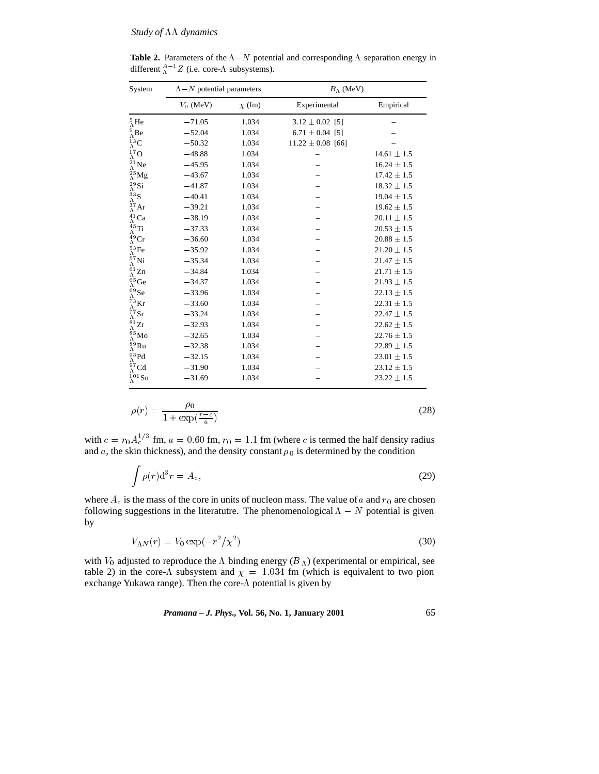**Table 2.** Parameters of the  $\Lambda - N$  potential and corresponding  $\Lambda$  separation energy in different  $^{A-1}_{\Lambda}Z$  (i.e. core- $\Lambda$  subsystems).

| System                                                                                                                                                                                                               | $\Lambda - N$ potential parameters |             | $B_{\Lambda}$ (MeV)   |                 |  |
|----------------------------------------------------------------------------------------------------------------------------------------------------------------------------------------------------------------------|------------------------------------|-------------|-----------------------|-----------------|--|
|                                                                                                                                                                                                                      | $V_0$ (MeV)                        | $\chi$ (fm) | Experimental          | Empirical       |  |
| $^5_\Lambda \text{He}$                                                                                                                                                                                               | $-71.05$                           | 1.034       | $3.12 \pm 0.02$ [5]   |                 |  |
| $^{9}_{\Lambda}$ Be                                                                                                                                                                                                  | $-52.04$                           | 1.034       | $6.71 \pm 0.04$ [5]   |                 |  |
| $^{13}_\Lambda \text{C}$                                                                                                                                                                                             | $-50.32$                           | 1.034       | $11.22 \pm 0.08$ [66] |                 |  |
|                                                                                                                                                                                                                      | $-48.88$                           | 1.034       |                       | $14.61 \pm 1.5$ |  |
|                                                                                                                                                                                                                      | $-45.95$                           | 1.034       |                       | $16.24 \pm 1.5$ |  |
|                                                                                                                                                                                                                      | $-43.67$                           | 1.034       |                       | $17.42 \pm 1.5$ |  |
| $^{17}_{\Lambda}$ O<br>$^{21}_{\Lambda}$ Ne<br>$^{25}_{\Lambda}$ Mg<br>$^{29}_{\Lambda}$ Si<br>$^{33}_{\Lambda}$ S<br>$^{37}_{\Lambda}$ Ar                                                                           | $-41.87$                           | 1.034       |                       | $18.32 \pm 1.5$ |  |
|                                                                                                                                                                                                                      | $-40.41$                           | 1.034       |                       | $19.04 \pm 1.5$ |  |
|                                                                                                                                                                                                                      | $-39.21$                           | 1.034       |                       | $19.62 \pm 1.5$ |  |
| $^{41}_{\Lambda}$ Ca                                                                                                                                                                                                 | $-38.19$                           | 1.034       |                       | $20.11 \pm 1.5$ |  |
| $^{45}_\Lambda \text{Ti}$                                                                                                                                                                                            | $-37.33$                           | 1.034       |                       | $20.53 \pm 1.5$ |  |
|                                                                                                                                                                                                                      | $-36.60$                           | 1.034       |                       | $20.88 \pm 1.5$ |  |
| $^{49}_{\Lambda}$ Cr<br>$^{53}_{\Lambda}$ Fe<br>$^{53}_{\Lambda}$ Ni<br>$^{61}_{\Lambda}$ Zn<br>$^{61}_{\Lambda}$ Ge<br>$^{69}_{\Lambda}$ Se<br>$^{69}_{\Lambda}$ Se<br>$^{73}_{\Lambda}$ Kr<br>$^{77}_{\Lambda}$ Sr | $-35.92$                           | 1.034       |                       | $21.20 \pm 1.5$ |  |
|                                                                                                                                                                                                                      | $-35.34$                           | 1.034       |                       | $21.47 \pm 1.5$ |  |
|                                                                                                                                                                                                                      | $-34.84$                           | 1.034       |                       | $21.71 \pm 1.5$ |  |
|                                                                                                                                                                                                                      | $-34.37$                           | 1.034       |                       | $21.93 \pm 1.5$ |  |
|                                                                                                                                                                                                                      | $-33.96$                           | 1.034       |                       | $22.13 \pm 1.5$ |  |
|                                                                                                                                                                                                                      | $-33.60$                           | 1.034       |                       | $22.31 \pm 1.5$ |  |
|                                                                                                                                                                                                                      | $-33.24$                           | 1.034       |                       | $22.47 \pm 1.5$ |  |
| $^{81}_{\Lambda}$ Zr                                                                                                                                                                                                 | $-32.93$                           | 1.034       |                       | $22.62 \pm 1.5$ |  |
|                                                                                                                                                                                                                      | $-32.65$                           | 1.034       |                       | $22.76 \pm 1.5$ |  |
|                                                                                                                                                                                                                      | $-32.38$                           | 1.034       |                       | $22.89 \pm 1.5$ |  |
|                                                                                                                                                                                                                      | $-32.15$                           | 1.034       |                       | $23.01 \pm 1.5$ |  |
|                                                                                                                                                                                                                      | $-31.90$                           | 1.034       |                       | $23.12 \pm 1.5$ |  |
| $\frac{\Lambda}{\Lambda}$ 85 Mo<br>89 Ru<br>$\frac{\Lambda}{\Lambda}$ 93 Pd<br>$\frac{93}{\Lambda}$ Pd<br>$\frac{97}{\Lambda}$ Cd<br>$\frac{101}{\Lambda}$ Sn                                                        | $-31.69$                           | 1.034       |                       | $23.22 \pm 1.5$ |  |

$$
\rho(r) = \frac{\rho_0}{1 + \exp(\frac{r - c}{a})}
$$
\n(28)

with  $c = r_0 A_c^{1/3}$  fm,  $a = 0.60$  fm,  $r_0 = 1.1$  fm (where c is termed the half density radius and a, the skin thickness), and the density constant  $\rho_0$  is determined by the condition

$$
\int \rho(r) \mathrm{d}^3 r = A_c,\tag{29}
$$

where  $A_c$  is the mass of the core in units of nucleon mass. The value of a and  $r_0$  are chosen following suggestions in the literatutre. The phenomenological  $\Lambda - N$  potential is given by

$$
V_{\Lambda N}(r) = V_0 \exp(-r^2/\chi^2)
$$
\n
$$
(30)
$$

with  $V_0$  adjusted to reproduce the  $\Lambda$  binding energy ( $B_\Lambda$ ) (experimental or empirical, see table 2) in the core- $\Lambda$  subsystem and  $\chi = 1.034$  fm (which is equivalent to two pion exchange Yukawa range). Then the core- $\Lambda$  potential is given by

*Pramana – J. Phys.,* **Vol. 56, No. 1, January 2001** 65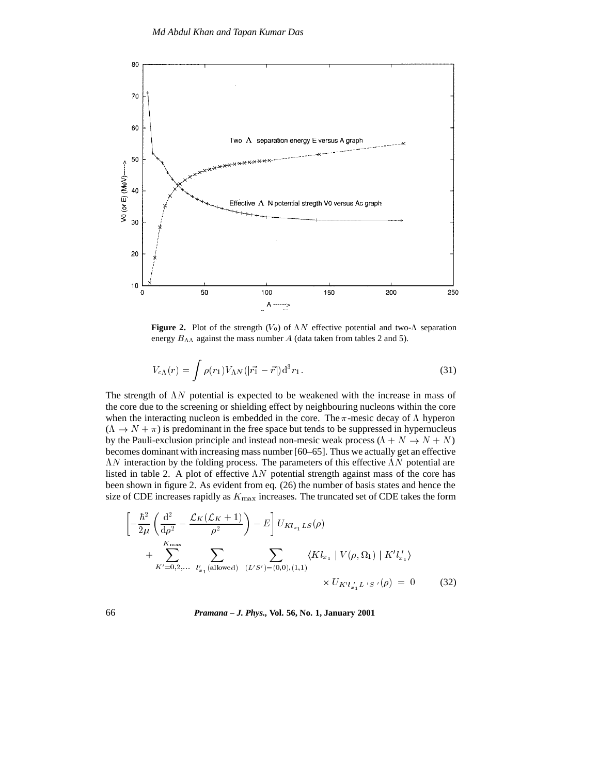

**Figure 2.** Plot of the strength  $(V_0)$  of  $\Lambda N$  effective potential and two- $\Lambda$  separation energy  $B_{\Lambda\Lambda}$  against the mass number A (data taken from tables 2 and 5).

$$
V_{c\Lambda}(r) = \int \rho(r_1) V_{\Lambda N} (|\vec{r_1} - \vec{r}|) d^3 r_1.
$$
 (31)

The strength of  $\Lambda N$  potential is expected to be weakened with the increase in mass of the core due to the screening or shielding effect by neighbouring nucleons within the core when the interacting nucleon is embedded in the core. The  $\pi$ -mesic decay of  $\Lambda$  hyperon  $(\Lambda \to N + \pi)$  is predominant in the free space but tends to be suppressed in hypernucleus by the Pauli-exclusion principle and instead non-mesic weak process ( $\Lambda + N \rightarrow N + N$ ) becomes dominant with increasing mass number [60–65]. Thus we actually get an effective  $\Lambda N$  interaction by the folding process. The parameters of this effective  $\Lambda N$  potential are listed in table 2. A plot of effective  $\Lambda N$  potential strength against mass of the core has been shown in figure 2. As evident from eq. (26) the number of basis states and hence the size of CDE increases rapidly as  $K_{\text{max}}$  increases. The truncated set of CDE takes the form

$$
\left[ -\frac{\hbar^2}{2\mu} \left( \frac{d^2}{d\rho^2} - \frac{\mathcal{L}_K(\mathcal{L}_K + 1)}{\rho^2} \right) - E \right] U_{Kl_{x_1}LS}(\rho) + \sum_{K'=0,2,...}^{K_{\text{max}}} \sum_{l'_{x_1} \text{(allowed)}} \sum_{(L'S')=(0,0),(1,1)} \langle Kl_{x_1} | V(\rho, \Omega_1) | K'l'_{x_1} \rangle \times U_{K'l'_{x_1}L'S'}(\rho) = 0 \tag{32}
$$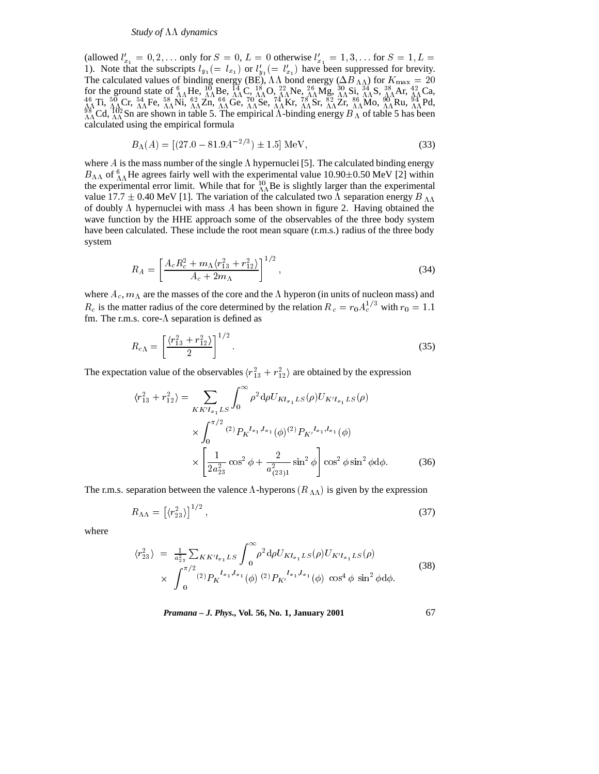(allowed  $l'_{x_1} = 0, 2, \ldots$  only for  $S = 0, L = 0$  otherwise  $l'_{x_1} = 1, 3, \ldots$  for  $S = 1, L =$ 1). Note that the subscripts  $l_{y_1} (= l_{x_1})$  or  $l'_{y_1} (= l'_{x_1})$  have been suppressed for brevity. The calculated values of binding energy (BE),  $\Lambda\Lambda$  bond energy ( $\Delta B_{\Lambda\Lambda}$ ) for  $K_{\text{max}} = 20$ for the ground state of  ${}^{6}_{\Lambda}$  AHe,  ${}^{10}_{\Lambda}$  Be,  ${}^{14}_{\Lambda}$  C,  ${}^{18}_{\Lambda}$  O,  ${}^{22}_{\Lambda}$  Ne,  ${}^{26}_{\Lambda}$  Mg,  ${}^{30}_{\Lambda}$  Si,  ${}^{34}_{\Lambda}$  Si,  ${}^{34}_{\Lambda}$  Ar,  ${}^{42}_{\Lambda}$  Ca,  ${}^{46}_{\Lambda}$  Ti,  ${}^{50}_{\Lambda}$  Cr,  ${}^{54}_{\Lambda}$  Fe,  ${}^{5$ calculated using the empirical formula

$$
B_{\Lambda}(A) = [(27.0 - 81.9A^{-2/3}) \pm 1.5] \,\text{MeV},\tag{33}
$$

where  $A$  is the mass number of the single  $\Lambda$  hypernuclei [5]. The calculated binding energy  $B_{\Lambda\Lambda}$  of  ${}_{\Lambda\Lambda}^{6}$  He agrees fairly well with the experimental value 10.90 $\pm$ 0.50 MeV [2] within the experimental error limit. While that for  $^{10}_{\Lambda\Lambda}$ Be is slightly larger than the experimental value 17.7  $\pm$  0.40 MeV [1]. The variation of the calculated two  $\Lambda$  separation energy  $B_{\Lambda\Lambda}$ of doubly  $\Lambda$  hypernuclei with mass  $\Lambda$  has been shown in figure 2. Having obtained the wave function by the HHE approach some of the observables of the three body system have been calculated. These include the root mean square (r.m.s.) radius of the three body system

$$
R_A = \left[ \frac{A_c R_c^2 + m_\Lambda \langle r_{13}^2 + r_{12}^2 \rangle}{A_c + 2m_\Lambda} \right]^{1/2},\tag{34}
$$

where  $A_c$ ,  $m_A$  are the masses of the core and the  $\Lambda$  hyperon (in units of nucleon mass) and  $R_c$  is the matter radius of the core determined by the relation  $R_c = r_0 A_c^{1/3}$  with  $r_0 = 1.1$ fm. The r.m.s. core- $\Lambda$  separation is defined as

$$
R_{c\Lambda} = \left[\frac{\langle r_{13}^2 + r_{12}^2 \rangle}{2}\right]^{1/2}.
$$
 (35)

The expectation value of the observables  $\langle r_{13}^2 + r_{12}^2 \rangle$  are obtained by the expression

$$
\langle r_{13}^2 + r_{12}^2 \rangle = \sum_{KK'l_{x_1}LS} \int_0^\infty \rho^2 d\rho U_{Kl_{x_1}LS}(\rho) U_{K'l_{x_1}LS}(\rho)
$$

$$
\times \int_0^{\pi/2} {}^{(2)}P_K^{l_{x_1},l_{x_1}}(\phi) {}^{(2)}P_{K'}^{l_{x_1},l_{x_1}}(\phi)
$$

$$
\times \left[ \frac{1}{2a_{23}^2} \cos^2 \phi + \frac{2}{a_{(23)1}^2} \sin^2 \phi \right] \cos^2 \phi \sin^2 \phi d\phi. \tag{36}
$$

The r.m.s. separation between the valence  $\Lambda$ -hyperons ( $R_{\Lambda\Lambda}$ ) is given by the expression

$$
R_{\Lambda\Lambda} = \left[ \langle r_{23}^2 \rangle \right]^{1/2},\tag{37}
$$

where

$$
\langle r_{23}^2 \rangle = \frac{1}{a_{23}^2} \sum_{KK'l_{x_1}LS} \int_0^\infty \rho^2 d\rho U_{Kl_{x_1}LS}(\rho) U_{K'l_{x_1}LS}(\rho)
$$
  
 
$$
\times \int_0^{\pi/2} (2) P_K^{l_{x_1},l_{x_1}}(\phi) (2) P_{K'}^{l_{x_1},l_{x_1}}(\phi) \cos^4 \phi \sin^2 \phi d\phi.
$$
 (38)

*Pramana – J. Phys.,* **Vol. 56, No. 1, January 2001** 67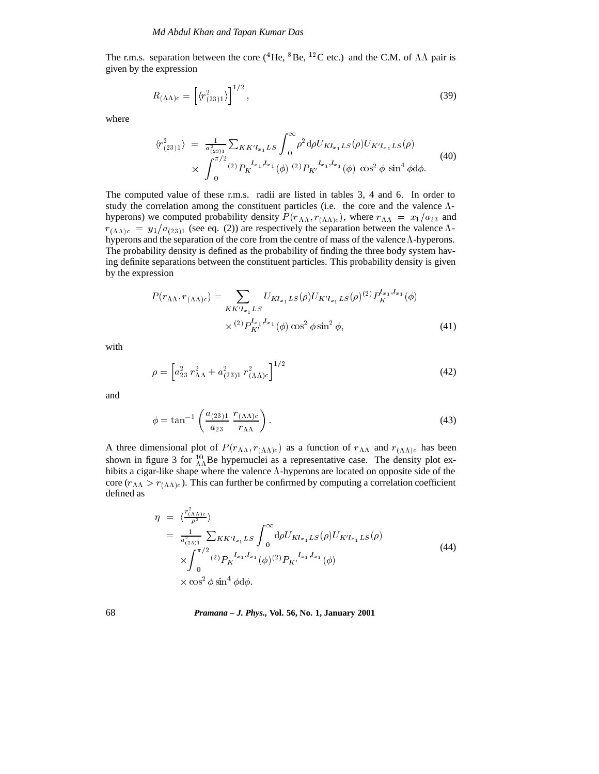The r.m.s. separation between the core (<sup>4</sup>He, <sup>8</sup>Be, <sup>12</sup>C etc.) and the C.M. of  $\Lambda\Lambda$  pair is given by the expression

$$
R_{(\Lambda\Lambda)c} = \left[ \langle r_{(23)1}^2 \rangle \right]^{1/2},\tag{39}
$$

where

$$
\langle r_{(23)1}^2 \rangle = \frac{1}{a_{(23)1}^2} \sum_{KK'l_{x_1}LS} \int_0^\infty \rho^2 d\rho U_{Kl_{x_1}LS}(\rho) U_{K'l_{x_1}LS}(\rho) \times \int_0^{\pi/2} {}^{(2)}P_K{}^{l_{x_1},l_{x_1}}(\phi) {}^{(2)}P_{K'}{}^{l_{x_1},l_{x_1}}(\phi) \cos^2 \phi \sin^4 \phi d\phi.
$$
\n(40)

The computed value of these r.m.s. radii are listed in tables 3, 4 and 6. In order to study the correlation among the constituent particles (i.e. the core and the valence  $\Lambda$ hyperons) we computed probability density  $P(r_{\Lambda\Lambda}, r_{(\Lambda\Lambda)c})$ , where  $r_{\Lambda\Lambda} = x_1/a_{23}$  and  $r_{(\Lambda\Lambda)c} = y_1/a_{(23)1}$  (see eq. (2)) are respectively the separation between the valence  $\Lambda$ hyperons and the separation of the core from the centre of mass of the valence  $\Lambda$ -hyperons. The probability density is defined as the probability of finding the three body system having definite separations between the constituent particles. This probability density is given by the expression

$$
P(r_{\Lambda\Lambda}, r_{(\Lambda\Lambda)c}) = \sum_{KK'l_{x_1}LS} U_{Kl_{x_1}LS}(\rho) U_{K'l_{x_1}LS}(\rho)^{(2)} P_K^{l_{x_1},l_{x_1}}(\phi)
$$
  
 
$$
\times {}^{(2)}P_{K'}^{l_{x_1},l_{x_1}}(\phi) \cos^2 \phi \sin^2 \phi,
$$
 (41)

with

$$
\rho = \left[ a_{23}^2 \ r_{\Lambda\Lambda}^2 + a_{(23)1}^2 \ r_{(\Lambda\Lambda)c}^2 \right]^{1/2} \tag{42}
$$

and

$$
\phi = \tan^{-1} \left( \frac{a_{(23)1}}{a_{23}} \frac{r_{(\Lambda\Lambda)c}}{r_{\Lambda\Lambda}} \right). \tag{43}
$$

A three dimensional plot of  $P(r_{\Lambda\Lambda}, r_{(\Lambda\Lambda)c})$  as a function of  $r_{\Lambda\Lambda}$  and  $r_{(\Lambda\Lambda)c}$  has been shown in figure 3 for  $^{10}_{\Lambda\Lambda}$ Be hypernuclei as a representative case. The density plot exhibits a cigar-like shape where the valence  $\Lambda$ -hyperons are located on opposite side of the core  $(r_{\Lambda\Lambda} > r_{(\Lambda\Lambda)c})$ . This can further be confirmed by computing a correlation coefficient defined as

$$
\eta = \langle \frac{r_{(AA)e}^2}{\rho^2} \rangle
$$
\n
$$
= \frac{1}{a_{(2s)1}^2} \sum_{K K' l_{x1} L S} \int_0^\infty d\rho U_{K l_{x1} L S}(\rho) U_{K' l_{x1} L S}(\rho)
$$
\n
$$
\times \int_0^{\pi/2} (2) P_K^{l_{x1}, l_{x1}}(\phi)^{(2)} P_{K'}^{l_{x1}, l_{x1}}(\phi)
$$
\n
$$
\times \cos^2 \phi \sin^4 \phi d\phi \tag{44}
$$

 $\times$  cos<sup>-</sup>  $\varphi$  sin  $\varphi$  a $\varphi$ .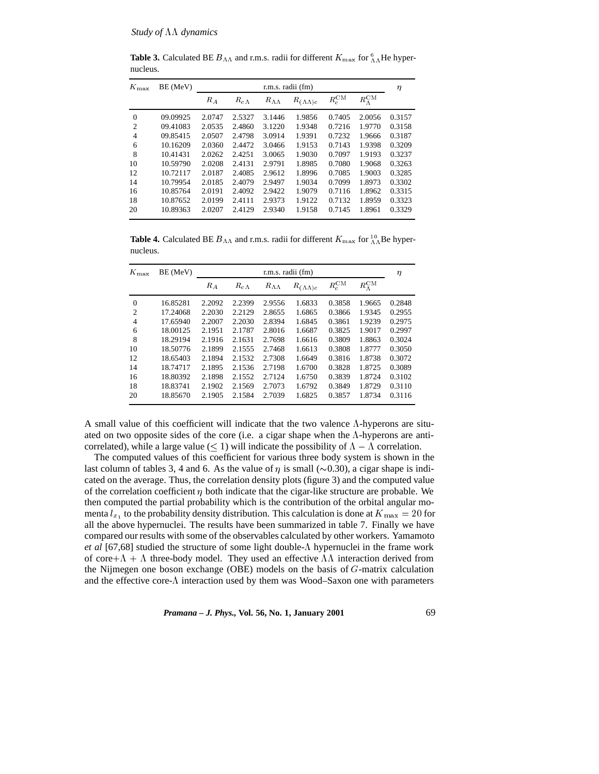**Table 3.** Calculated BE  $B_{\Lambda\Lambda}$  and r.m.s. radii for different  $K_{\text{max}}$  for  ${}_{\Lambda\Lambda}^{6}$  He hypernucleus.

| $\Omega$<br>$\overline{c}$ | 09.09925<br>09.41083 | $R_A$<br>2.0747<br>2.0535 | $R_{c\Lambda}$<br>2.5327 | $R_{\Lambda\Lambda}$<br>3.1446 | $R_{(\Lambda\Lambda)c}$<br>1.9856 | $R_c^{\text{CM}}$ | $R_{\Lambda}^{\rm CM}$ |        |
|----------------------------|----------------------|---------------------------|--------------------------|--------------------------------|-----------------------------------|-------------------|------------------------|--------|
|                            |                      |                           |                          |                                |                                   |                   |                        |        |
|                            |                      |                           |                          |                                |                                   | 0.7405            | 2.0056                 | 0.3157 |
|                            |                      |                           | 2.4860                   | 3.1220                         | 1.9348                            | 0.7216            | 1.9770                 | 0.3158 |
| $\overline{4}$             | 09.85415             | 2.0507                    | 2.4798                   | 3.0914                         | 1.9391                            | 0.7232            | 1.9666                 | 0.3187 |
| 6                          | 10.16209             | 2.0360                    | 2.4472                   | 3.0466                         | 1.9153                            | 0.7143            | 1.9398                 | 0.3209 |
| 8                          | 10.41431             | 2.0262                    | 2.4251                   | 3.0065                         | 1.9030                            | 0.7097            | 1.9193                 | 0.3237 |
| 10                         | 10.59790             | 2.0208                    | 2.4131                   | 2.9791                         | 1.8985                            | 0.7080            | 1.9068                 | 0.3263 |
| 12                         | 10.72117             | 2.0187                    | 2.4085                   | 2.9612                         | 1.8996                            | 0.7085            | 1.9003                 | 0.3285 |
| 14                         | 10.79954             | 2.0185                    | 2.4079                   | 2.9497                         | 1.9034                            | 0.7099            | 1.8973                 | 0.3302 |
| 16                         | 10.85764             | 2.0191                    | 2.4092                   | 2.9422                         | 1.9079                            | 0.7116            | 1.8962                 | 0.3315 |
| 18                         | 10.87652             | 2.0199                    | 2.4111                   | 2.9373                         | 1.9122                            | 0.7132            | 1.8959                 | 0.3323 |
| 20                         | 10.89363             | 2.0207                    | 2.4129                   | 2.9340                         | 1.9158                            | 0.7145            | 1.8961                 | 0.3329 |

**Table 4.** Calculated BE  $B_{\Lambda\Lambda}$  and r.m.s. radii for different  $K_{\text{max}}$  for  ${}_{\Lambda\Lambda}^{10}$ Be hypernucleus.

| $K_{\rm max}$  | BE (MeV) |        | r.m.s. radii (fm) |                      |                         |                   |                        |        |  |
|----------------|----------|--------|-------------------|----------------------|-------------------------|-------------------|------------------------|--------|--|
|                |          | $R_A$  | $R_{c\Lambda}$    | $R_{\Lambda\Lambda}$ | $R_{(\Lambda\Lambda)c}$ | $R_c^{\text{CM}}$ | $R_{\Lambda}^{\rm CM}$ |        |  |
| $\Omega$       | 16.85281 | 2.2092 | 2.2399            | 2.9556               | 1.6833                  | 0.3858            | 1.9665                 | 0.2848 |  |
| $\overline{2}$ | 17.24068 | 2.2030 | 2.2129            | 2.8655               | 1.6865                  | 0.3866            | 1.9345                 | 0.2955 |  |
| $\overline{4}$ | 17.65940 | 2.2007 | 2.2030            | 2.8394               | 1.6845                  | 0.3861            | 1.9239                 | 0.2975 |  |
| 6              | 18.00125 | 2.1951 | 2.1787            | 2.8016               | 1.6687                  | 0.3825            | 1.9017                 | 0.2997 |  |
| 8              | 18.29194 | 2.1916 | 2.1631            | 2.7698               | 1.6616                  | 0.3809            | 1.8863                 | 0.3024 |  |
| 10             | 18.50776 | 2.1899 | 2.1555            | 2.7468               | 1.6613                  | 0.3808            | 1.8777                 | 0.3050 |  |
| 12             | 18.65403 | 2.1894 | 2.1532            | 2.7308               | 1.6649                  | 0.3816            | 1.8738                 | 0.3072 |  |
| 14             | 18.74717 | 2.1895 | 2.1536            | 2.7198               | 1.6700                  | 0.3828            | 1.8725                 | 0.3089 |  |
| 16             | 18.80392 | 2.1898 | 2.1552            | 2.7124               | 1.6750                  | 0.3839            | 1.8724                 | 0.3102 |  |
| 18             | 18.83741 | 2.1902 | 2.1569            | 2.7073               | 1.6792                  | 0.3849            | 1.8729                 | 0.3110 |  |
| 20             | 18.85670 | 2.1905 | 2.1584            | 2.7039               | 1.6825                  | 0.3857            | 1.8734                 | 0.3116 |  |

A small value of this coefficient will indicate that the two valence  $\Lambda$ -hyperons are situated on two opposite sides of the core (i.e. a cigar shape when the  $\Lambda$ -hyperons are anticorrelated), while a large value ( $\leq$  1) will indicate the possibility of  $\Lambda - \Lambda$  correlation.

The computed values of this coefficient for various three body system is shown in the last column of tables 3, 4 and 6. As the value of  $\eta$  is small ( $\sim$ 0.30), a cigar shape is indicated on the average. Thus, the correlation density plots (figure 3) and the computed value of the correlation coefficient  $\eta$  both indicate that the cigar-like structure are probable. We then computed the partial probability which is the contribution of the orbital angular momenta  $l_{x_1}$  to the probability density distribution. This calculation is done at  $K_{\text{max}} = 20$  for all the above hypernuclei. The results have been summarized in table 7. Finally we have compared our results with some of the observables calculated by other workers. Yamamoto *et al* [67,68] studied the structure of some light double- $\Lambda$  hypernuclei in the frame work of core +  $\Lambda$  +  $\Lambda$  three-body model. They used an effective  $\Lambda\Lambda$  interaction derived from the Nijmegen one boson exchange (OBE) models on the basis of  $G$ -matrix calculation and the effective core- $\Lambda$  interaction used by them was Wood–Saxon one with parameters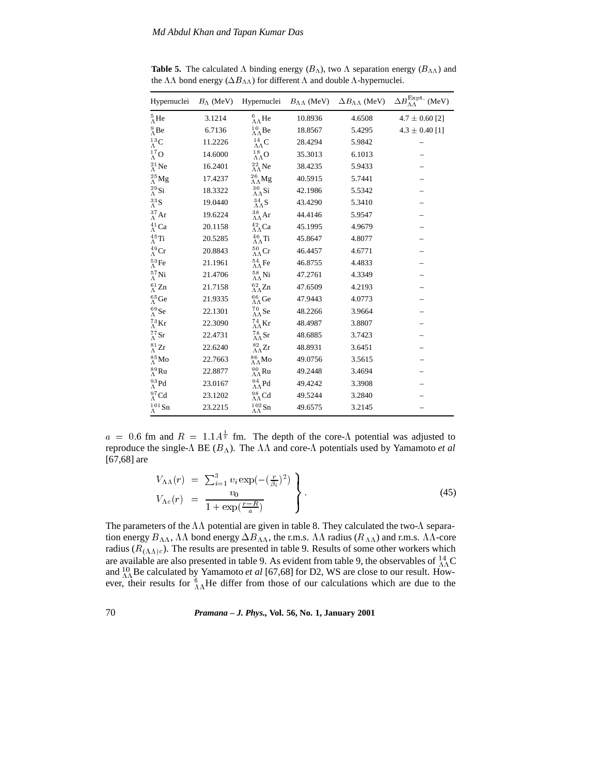| Hypernuclei                   |         | $B_{\Lambda}$ (MeV) Hypernuclei  |         | $B_{\Lambda\Lambda}$ (MeV) $\Delta B_{\Lambda\Lambda}$ (MeV) | $\Delta B_{\Lambda\Lambda}^{\rm Expt.}$ (MeV) |
|-------------------------------|---------|----------------------------------|---------|--------------------------------------------------------------|-----------------------------------------------|
| $^{5}_{\Lambda}$ He           | 3.1214  | $^{6}_{\Lambda\Lambda}$ He       | 10.8936 | 4.6508                                                       | $4.7 \pm 0.60$ [2]                            |
| $^{9}_{\Lambda}$ Be           | 6.7136  | $^{10}_{\Lambda\Lambda}{\rm Be}$ | 18.8567 | 5.4295                                                       | $4.3 \pm 0.40$ [1]                            |
| $^{13}_{\Lambda}$ C           | 11.2226 | $^{14}_{\Lambda\Lambda}{\rm C}$  | 28.4294 | 5.9842                                                       |                                               |
| $^{17}_{\Lambda}$ O           | 14.6000 | $^{18}_{\Lambda\Lambda}$ O       | 35.3013 | 6.1013                                                       |                                               |
| $^{21}_{\Lambda}$ Ne          | 16.2401 | $^{22}_{\Lambda\Lambda}$ Ne      | 38.4235 | 5.9433                                                       |                                               |
| $^{25}_{\Lambda}$ Mg          | 17.4237 | $^{26}_{\Lambda\Lambda}{\rm Mg}$ | 40.5915 | 5.7441                                                       |                                               |
| $^{29}_{\Lambda}$ Si          | 18.3322 | $^{30}_{\Lambda\Lambda}{\rm Si}$ | 42.1986 | 5.5342                                                       |                                               |
| $^{33}_\Lambda \text{S}$      | 19.0440 | $^{34}_{\Lambda\Lambda}{\rm S}$  | 43.4290 | 5.3410                                                       |                                               |
| $^{37}_\Lambda \text{Ar}$     | 19.6224 | $^{38}_{\Lambda\Lambda}{\rm Ar}$ | 44.4146 | 5.9547                                                       |                                               |
| $^{41}_\Lambda \text{Ca}$     | 20.1158 | $^{42}_{\Lambda\Lambda}{\rm Ca}$ | 45.1995 | 4.9679                                                       |                                               |
| $^{45}_{\Lambda}$ Ti          | 20.5285 | $^{46}_{\Lambda\Lambda}{\rm Ti}$ | 45.8647 | 4.8077                                                       |                                               |
| $^{49}_\Lambda \mathrm{Cr}$   | 20.8843 | $^{50}_{\Lambda\Lambda}{\rm Cr}$ | 46.4457 | 4.6771                                                       |                                               |
| $^{53}_\Lambda \rm{Fe}$       | 21.1961 | $^{54}_{\Lambda\Lambda}$ Fe      | 46.8755 | 4.4833                                                       |                                               |
| $^{57}_\Lambda \mathrm{Ni}$   | 21.4706 | $^{58}_{\Lambda\Lambda}{\rm Ni}$ | 47.2761 | 4.3349                                                       |                                               |
| $^{61}_{\Lambda}$ Zn          | 21.7158 | $^{62}_{\Lambda\Lambda}$ Zn      | 47.6509 | 4.2193                                                       |                                               |
| $^{65}_\Lambda \text{Ge}$     | 21.9335 | $^{66}_{\Lambda\Lambda}{\rm Ge}$ | 47.9443 | 4.0773                                                       |                                               |
| $^{69}_\Lambda \text{Se}$     | 22.1301 | $^{70}_{\Lambda\Lambda}{\rm Se}$ | 48.2266 | 3.9664                                                       |                                               |
| $^{73}_{\Lambda} \mathrm{Kr}$ | 22.3090 | $^{74}_{\Lambda\Lambda}{\rm Kr}$ | 48.4987 | 3.8807                                                       |                                               |
| $^{77}_{\Lambda}$ Sr          | 22.4731 | $^{78}_{\Lambda\Lambda}{\rm Sr}$ | 48.6885 | 3.7423                                                       |                                               |
| $^{81}_{\Lambda}$ Zr          | 22.6240 | $^{82}_{\Lambda\Lambda}\rm{Zr}$  | 48.8931 | 3.6451                                                       |                                               |
| $^{85}_\Lambda \rm{Mo}$       | 22.7663 | $^{86}_{\Lambda\Lambda}{\rm Mo}$ | 49.0756 | 3.5615                                                       |                                               |
| $^{89}_\Lambda \text{Ru}$     | 22.8877 | $^{90}_{\Lambda\Lambda}{\rm Ru}$ | 49.2448 | 3.4694                                                       |                                               |
| $^{93}_\Lambda \text{Pd}$     | 23.0167 | $^{94}_{\Lambda\Lambda}$ Pd      | 49.4242 | 3.3908                                                       |                                               |
| $^{97}_{\Lambda}$ Cd          | 23.1202 | $^{98}_{\Lambda\Lambda}{\rm Cd}$ | 49.5244 | 3.2840                                                       |                                               |
| $^{101}_{\Lambda}$ Sn         | 23.2215 | $^{102}_{\Lambda\Lambda}$ Sn     | 49.6575 | 3.2145                                                       |                                               |

**Table 5.** The calculated  $\Lambda$  binding energy  $(B_{\Lambda})$ , two  $\Lambda$  separation energy  $(B_{\Lambda})$  and the  $\Lambda\Lambda$  bond energy  $(\Delta B_{\Lambda\Lambda})$  for different  $\Lambda$  and double  $\Lambda$  -hypernuclei.

 $a = 0.6$  fm and  $R = 1.1A^{\frac{1}{3}}$  fm. The depth of the core- $\Lambda$  potential was adjusted to reproduce the single- $\Lambda$  BE ( $B_{\Lambda}$ ). The  $\Lambda\Lambda$  and core- $\Lambda$  potentials used by Yamamoto *et al* [67,68] are

$$
V_{\Lambda\Lambda}(r) = \sum_{i=1}^{3} v_i \exp(-(\frac{r}{\beta_i})^2) V_{\Lambda c}(r) = \frac{v_0}{1 + \exp(\frac{r - R}{a})}
$$
 (45)

The parameters of the  $\Lambda\Lambda$  potential are given in table 8. They calculated the two- $\Lambda$  separation energy  $B_{\Lambda\Lambda}$ ,  $\Lambda\Lambda$  bond energy  $\Delta B_{\Lambda\Lambda}$ , the r.m.s.  $\Lambda\Lambda$  radius ( $R_{\Lambda\Lambda}$ ) and r.m.s.  $\Lambda\Lambda$ -core radius ( $R_{(\Lambda\Lambda)c}$ ). The results are presented in table 9. Results of some other workers which are available are also presented in table 9. As evident from table 9, the observables of  $^{14}_{\Lambda\Lambda}$ C and  $^{10}_{\Lambda\Lambda}$ Be calculated by Yamamoto *et al* [67,68] for D2, WS are close to our result. However, their results for  ${}^{6}_{AA}$ He differ from those of our calculations which are due to the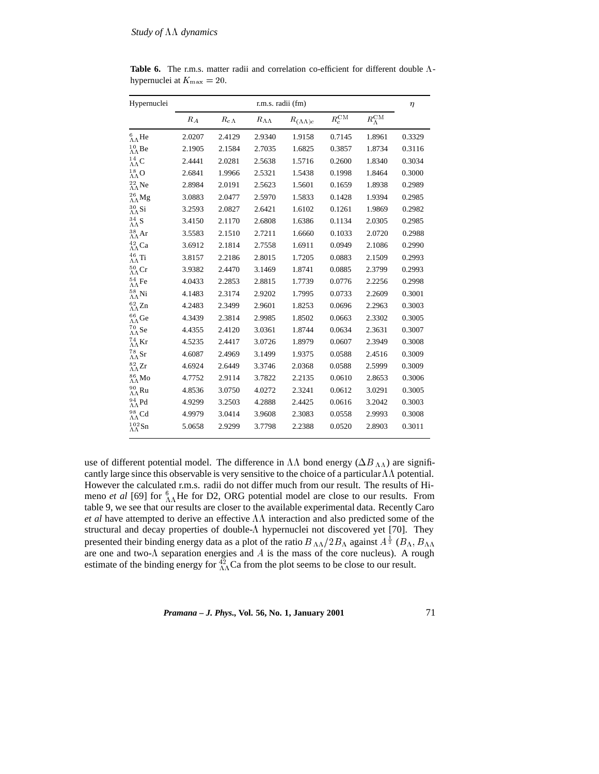| Hypernuclei                         |                   | r.m.s. radii (fm)  |                      |                         |                |                        |        |  |  |
|-------------------------------------|-------------------|--------------------|----------------------|-------------------------|----------------|------------------------|--------|--|--|
|                                     | $\cal R_{\cal A}$ | $R_{\it c\Lambda}$ | $R_{\Lambda\Lambda}$ | $R_{(\Lambda\Lambda)c}$ | $R_c^{\rm CM}$ | $R_{\Lambda}^{\rm CM}$ |        |  |  |
| $^6_{\Lambda\Lambda}$ He            | 2.0207            | 2.4129             | 2.9340               | 1.9158                  | 0.7145         | 1.8961                 | 0.3329 |  |  |
| $^{10}_{\Lambda\Lambda}{\rm Be}$    | 2.1905            | 2.1584             | 2.7035               | 1.6825                  | 0.3857         | 1.8734                 | 0.3116 |  |  |
| $^{14}_{\Lambda\Lambda}{\rm C}$     | 2.4441            | 2.0281             | 2.5638               | 1.5716                  | 0.2600         | 1.8340                 | 0.3034 |  |  |
| $^{18}_{\Lambda\Lambda}{\rm O}$     | 2.6841            | 1.9966             | 2.5321               | 1.5438                  | 0.1998         | 1.8464                 | 0.3000 |  |  |
| $^{22}_{\Lambda\Lambda}{\rm Ne}$    | 2.8984            | 2.0191             | 2.5623               | 1.5601                  | 0.1659         | 1.8938                 | 0.2989 |  |  |
| $^{26}_{\Lambda\Lambda}{\rm Mg}$    | 3.0883            | 2.0477             | 2.5970               | 1.5833                  | 0.1428         | 1.9394                 | 0.2985 |  |  |
| $^{30}_{\Lambda\Lambda}{\rm Si}$    | 3.2593            | 2.0827             | 2.6421               | 1.6102                  | 0.1261         | 1.9869                 | 0.2982 |  |  |
| $^{34}_{\Lambda\Lambda}{\rm S}$     | 3.4150            | 2.1170             | 2.6808               | 1.6386                  | 0.1134         | 2.0305                 | 0.2985 |  |  |
| $^{38}_{\Lambda\Lambda}{\rm Ar}$    | 3.5583            | 2.1510             | 2.7211               | 1.6660                  | 0.1033         | 2.0720                 | 0.2988 |  |  |
| $^{42}_{\Lambda\Lambda}{\rm Ca}$    | 3.6912            | 2.1814             | 2.7558               | 1.6911                  | 0.0949         | 2.1086                 | 0.2990 |  |  |
| $^{46}_{\Lambda\Lambda}{\rm Ti}$    | 3.8157            | 2.2186             | 2.8015               | 1.7205                  | 0.0883         | 2.1509                 | 0.2993 |  |  |
| $^{50}_{\Lambda\Lambda}{\rm Cr}$    | 3.9382            | 2.4470             | 3.1469               | 1.8741                  | 0.0885         | 2.3799                 | 0.2993 |  |  |
| $^{54}_{\Lambda\Lambda}{\rm Fe}$    | 4.0433            | 2.2853             | 2.8815               | 1.7739                  | 0.0776         | 2.2256                 | 0.2998 |  |  |
| $^{58}_{\Lambda\Lambda}{\rm Ni}$    | 4.1483            | 2.3174             | 2.9202               | 1.7995                  | 0.0733         | 2.2609                 | 0.3001 |  |  |
| $^{62}_{\Lambda\Lambda}$ Zn         | 4.2483            | 2.3499             | 2.9601               | 1.8253                  | 0.0696         | 2.2963                 | 0.3003 |  |  |
| $^{66}_{\Lambda\Lambda}{\rm Ge}$    | 4.3439            | 2.3814             | 2.9985               | 1.8502                  | 0.0663         | 2.3302                 | 0.3005 |  |  |
| $^{70}_{\Lambda\Lambda}{\rm Se}$    | 4.4355            | 2.4120             | 3.0361               | 1.8744                  | 0.0634         | 2.3631                 | 0.3007 |  |  |
| $^{74}_{\Lambda\Lambda}{\rm Kr}$    | 4.5235            | 2.4417             | 3.0726               | 1.8979                  | 0.0607         | 2.3949                 | 0.3008 |  |  |
| $^{78}_{\Lambda\Lambda}{\rm Sr}$    | 4.6087            | 2.4969             | 3.1499               | 1.9375                  | 0.0588         | 2.4516                 | 0.3009 |  |  |
| $^{82}_{\Lambda\Lambda}\mathrm{Zr}$ | 4.6924            | 2.6449             | 3.3746               | 2.0368                  | 0.0588         | 2.5999                 | 0.3009 |  |  |
| $^{86}_{\Lambda\Lambda}{\rm Mo}$    | 4.7752            | 2.9114             | 3.7822               | 2.2135                  | 0.0610         | 2.8653                 | 0.3006 |  |  |
| $^{90}_{\Lambda\Lambda}{\rm Ru}$    | 4.8536            | 3.0750             | 4.0272               | 2.3241                  | 0.0612         | 3.0291                 | 0.3005 |  |  |
| $^{94}_{\Lambda\Lambda}{\rm Pd}$    | 4.9299            | 3.2503             | 4.2888               | 2.4425                  | 0.0616         | 3.2042                 | 0.3003 |  |  |
| $^{98}_{\Lambda\Lambda}{\rm Cd}$    | 4.9979            | 3.0414             | 3.9608               | 2.3083                  | 0.0558         | 2.9993                 | 0.3008 |  |  |
| $^{102}_{\Lambda\Lambda}{\rm Sn}$   | 5.0658            | 2.9299             | 3.7798               | 2.2388                  | 0.0520         | 2.8903                 | 0.3011 |  |  |

Table 6. The r.m.s. matter radii and correlation co-efficient for different double  $\Lambda$ hypernuclei at  $K_{\text{max}} = 20$ .

use of different potential model. The difference in  $\Lambda\Lambda$  bond energy ( $\Delta B_{\Lambda\Lambda}$ ) are significantly large since this observable is very sensitive to the choice of a particular  $\Lambda\Lambda$  potential. However the calculated r.m.s. radii do not differ much from our result. The results of Himeno *et al* [69] for  ${}_{\Lambda\Lambda}^{6}$ He for D2, ORG potential model are close to our results. From table 9, we see that our results are closer to the available experimental data. Recently Caro *et al* have attempted to derive an effective  $\Lambda\Lambda$  interaction and also predicted some of the structural and decay properties of double- $\Lambda$  hypernuclei not discovered yet [70]. They presented their binding energy data as a plot of the ratio  $B_{\Lambda\Lambda}/2B_{\Lambda}$  against  $A^{\frac{1}{3}}$  ( $B_{\Lambda}$ ,  $B_{\Lambda\Lambda}$ ) are one and two- $\Lambda$  separation energies and  $A$  is the mass of the core nucleus). A rough estimate of the binding energy for  $^{42}_{\Lambda\Lambda}$ Ca from the plot seems to be close to our result.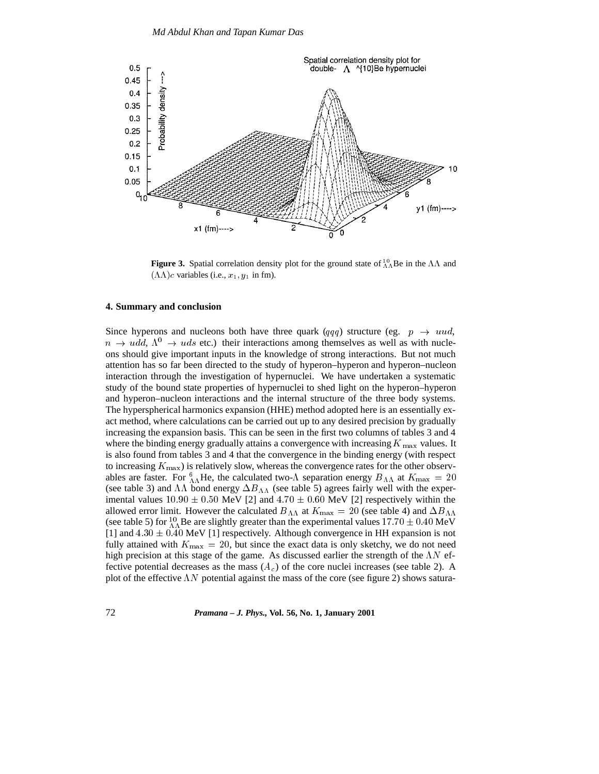

**Figure 3.** Spatial correlation density plot for the ground state of  $^{10}_{\Lambda}$ Be in the  $\Lambda\Lambda$  and  $(\Lambda\Lambda)c$  variables (i.e.,  $x_1, y_1$  in fm).

#### **4. Summary and conclusion**

Since hyperons and nucleons both have three quark (qqq) structure (eg.  $p \rightarrow uud$ ,  $n \rightarrow udd$ ,  $\Lambda^0 \rightarrow uds$  etc.) their interactions among themselves as well as with nucleons should give important inputs in the knowledge of strong interactions. But not much attention has so far been directed to the study of hyperon–hyperon and hyperon–nucleon interaction through the investigation of hypernuclei. We have undertaken a systematic study of the bound state properties of hypernuclei to shed light on the hyperon–hyperon and hyperon–nucleon interactions and the internal structure of the three body systems. The hyperspherical harmonics expansion (HHE) method adopted here is an essentially exact method, where calculations can be carried out up to any desired precision by gradually increasing the expansion basis. This can be seen in the first two columns of tables 3 and 4 where the binding energy gradually attains a convergence with increasing  $K_{\text{max}}$  values. It is also found from tables 3 and 4 that the convergence in the binding energy (with respect to increasing  $K_{\text{max}}$ ) is relatively slow, whereas the convergence rates for the other observables are faster. For  ${}_{\Lambda\Lambda}^6$  He, the calculated two- $\Lambda$  separation energy  $B_{\Lambda\Lambda}$  at  $K_{\text{max}} = 20$ (see table 3) and  $\Lambda\Lambda$  bond energy  $\Delta B_{\Lambda\Lambda}$  (see table 5) agrees fairly well with the experimental values  $10.90 \pm 0.50$  MeV [2] and  $4.70 \pm 0.60$  MeV [2] respectively within the allowed error limit. However the calculated  $B_{\Lambda\Lambda}$  at  $K_{\text{max}} = 20$  (see table 4) and  $\Delta B_{\Lambda\Lambda}$ (see table 5) for  $^{10}_{\Lambda\Lambda}$ Be are slightly greater than the experimental values 17.70  $\pm$  0.40 MeV [1] and  $4.30 \pm 0.40$  MeV [1] respectively. Although convergence in HH expansion is not fully attained with  $K_{\text{max}} = 20$ , but since the exact data is only sketchy, we do not need high precision at this stage of the game. As discussed earlier the strength of the  $\Lambda N$  effective potential decreases as the mass  $(A<sub>c</sub>)$  of the core nuclei increases (see table 2). A plot of the effective  $\Lambda N$  potential against the mass of the core (see figure 2) shows satura-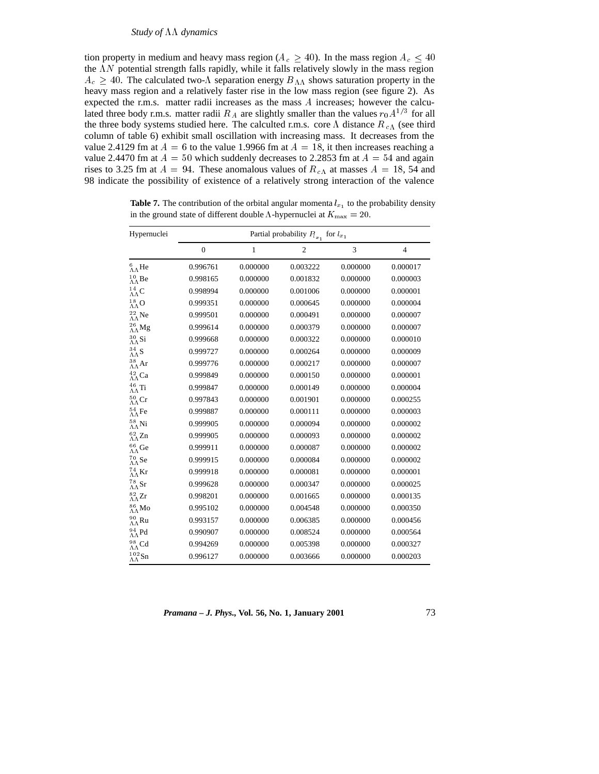tion property in medium and heavy mass region ( $A_c \ge 40$ ). In the mass region  $A_c \le 40$ the  $\Lambda N$  potential strength falls rapidly, while it falls relatively slowly in the mass region  $A_c \geq 40$ . The calculated two- $\Lambda$  separation energy  $B_{\Lambda\Lambda}$  shows saturation property in the heavy mass region and a relatively faster rise in the low mass region (see figure 2). As expected the r.m.s. matter radii increases as the mass A increases; however the calculated three body r.m.s. matter radii  $R_A$  are slightly smaller than the values  $r_0A^{1/3}$  for all the three body systems studied here. The calculted r.m.s. core  $\Lambda$  distance  $R_{c\Lambda}$  (see third column of table 6) exhibit small oscillation with increasing mass. It decreases from the value 2.4129 fm at  $A = 6$  to the value 1.9966 fm at  $A = 18$ , it then increases reaching a value 2.4470 fm at  $A = 50$  which suddenly decreases to 2.2853 fm at  $A = 54$  and again rises to 3.25 fm at  $A = 94$ . These anomalous values of  $R_{cA}$  at masses  $A = 18$ , 54 and 98 indicate the possibility of existence of a relatively strong interaction of the valence

| Hypernuclei                         | Partial probability $P_{l_{x_1}}$ for $l_{x_1}$ |          |                |          |                |  |  |  |
|-------------------------------------|-------------------------------------------------|----------|----------------|----------|----------------|--|--|--|
|                                     | $\mathbf{0}$                                    | 1        | $\overline{c}$ | 3        | $\overline{4}$ |  |  |  |
| $^{6}_{\Lambda\Lambda}$ He          | 0.996761                                        | 0.000000 | 0.003222       | 0.000000 | 0.000017       |  |  |  |
| $^{10}_{\Lambda\Lambda}{\rm Be}$    | 0.998165                                        | 0.000000 | 0.001832       | 0.000000 | 0.000003       |  |  |  |
| $^{14}_{\Lambda\Lambda}{\rm C}$     | 0.998994                                        | 0.000000 | 0.001006       | 0.000000 | 0.000001       |  |  |  |
| $^{18}_{\Lambda\Lambda}{\rm O}$     | 0.999351                                        | 0.000000 | 0.000645       | 0.000000 | 0.000004       |  |  |  |
| $^{22}_{\Lambda\Lambda}{\rm Ne}$    | 0.999501                                        | 0.000000 | 0.000491       | 0.000000 | 0.000007       |  |  |  |
| $^{26}_{\Lambda\Lambda}{\rm Mg}$    | 0.999614                                        | 0.000000 | 0.000379       | 0.000000 | 0.000007       |  |  |  |
| $^{30}_{\Lambda\Lambda}$ Si         | 0.999668                                        | 0.000000 | 0.000322       | 0.000000 | 0.000010       |  |  |  |
| $^{34}_{\Lambda\Lambda}{\rm S}$     | 0.999727                                        | 0.000000 | 0.000264       | 0.000000 | 0.000009       |  |  |  |
| $^{38}_{\Lambda\Lambda}{\rm Ar}$    | 0.999776                                        | 0.000000 | 0.000217       | 0.000000 | 0.000007       |  |  |  |
| $^{42}_{\Lambda\Lambda}{\rm Ca}$    | 0.999849                                        | 0.000000 | 0.000150       | 0.000000 | 0.000001       |  |  |  |
| $^{46}_{\Lambda\Lambda}{\rm Ti}$    | 0.999847                                        | 0.000000 | 0.000149       | 0.000000 | 0.000004       |  |  |  |
| $^{50}_{\Lambda\Lambda}{\rm Cr}$    | 0.997843                                        | 0.000000 | 0.001901       | 0.000000 | 0.000255       |  |  |  |
| $^{54}_{\Lambda\Lambda}$ Fe         | 0.999887                                        | 0.000000 | 0.000111       | 0.000000 | 0.000003       |  |  |  |
| $^{58}_{\Lambda\Lambda}{\rm Ni}$    | 0.999905                                        | 0.000000 | 0.000094       | 0.000000 | 0.000002       |  |  |  |
| $^{62}_{\Lambda\Lambda}\mathrm{Zn}$ | 0.999905                                        | 0.000000 | 0.000093       | 0.000000 | 0.000002       |  |  |  |
| $^{66}_{\Lambda\Lambda}{\rm Ge}$    | 0.999911                                        | 0.000000 | 0.000087       | 0.000000 | 0.000002       |  |  |  |
| $^{70}_{\Lambda\Lambda}{\rm Se}$    | 0.999915                                        | 0.000000 | 0.000084       | 0.000000 | 0.000002       |  |  |  |
| $^{74}_{\Lambda\Lambda}{\rm Kr}$    | 0.999918                                        | 0.000000 | 0.000081       | 0.000000 | 0.000001       |  |  |  |
| $^{78}_{\Lambda\Lambda}{\rm Sr}$    | 0.999628                                        | 0.000000 | 0.000347       | 0.000000 | 0.000025       |  |  |  |
| $^{82}_{\Lambda\Lambda}\rm Zr$      | 0.998201                                        | 0.000000 | 0.001665       | 0.000000 | 0.000135       |  |  |  |
| $^{86}_{\Lambda\Lambda}{\rm Mo}$    | 0.995102                                        | 0.000000 | 0.004548       | 0.000000 | 0.000350       |  |  |  |
| $^{90}_{\Lambda\Lambda}{\rm Ru}$    | 0.993157                                        | 0.000000 | 0.006385       | 0.000000 | 0.000456       |  |  |  |
| $^{94}_{\Lambda\Lambda}$ Pd         | 0.990907                                        | 0.000000 | 0.008524       | 0.000000 | 0.000564       |  |  |  |
| $^{98}_{\Lambda\Lambda}{\rm Cd}$    | 0.994269                                        | 0.000000 | 0.005398       | 0.000000 | 0.000327       |  |  |  |
| $^{102}_{\Lambda\Lambda}{\rm Sn}$   | 0.996127                                        | 0.000000 | 0.003666       | 0.000000 | 0.000203       |  |  |  |

**Table 7.** The contribution of the orbital angular momenta  $l_{x_1}$  to the probability density in the ground state of different double  $\Lambda$ -hypernuclei at  $K_{\rm max} = 20$ .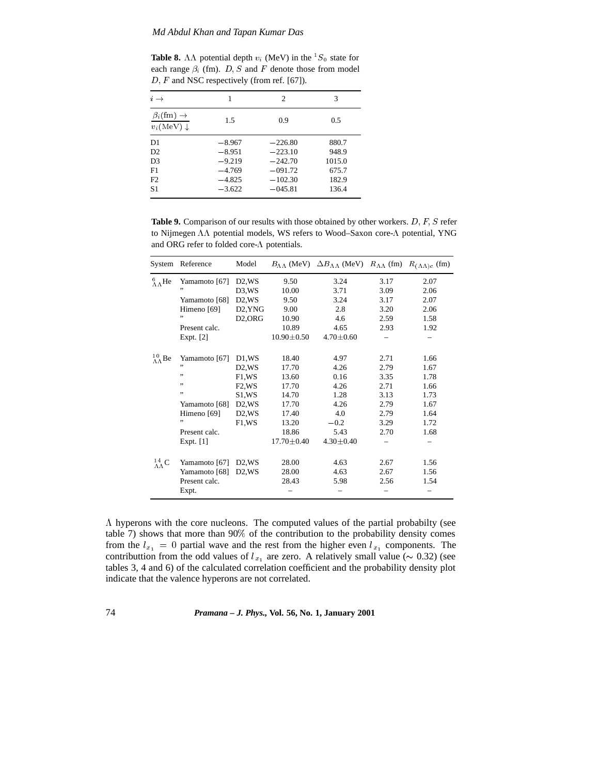**Table 8.**  $\Lambda\Lambda$  potential depth  $v_i$  (MeV) in the <sup>1</sup>S<sub>0</sub> state for each range  $\beta_i$  (fm). D, S and F denote those from model  $D, F$  and NSC respectively (from ref. [67]).

| $i \rightarrow$                                       |          | 2         | 3      |
|-------------------------------------------------------|----------|-----------|--------|
| $\beta_i$ (fm) $\rightarrow$<br>$v_i(MeV) \downarrow$ | 1.5      | 0.9       | 0.5    |
| D1                                                    | $-8.967$ | $-226.80$ | 880.7  |
| D2                                                    | $-8.951$ | $-223.10$ | 948.9  |
| D <sub>3</sub>                                        | $-9.219$ | $-242.70$ | 1015.0 |
| F1                                                    | $-4.769$ | $-091.72$ | 675.7  |
| F2                                                    | $-4.825$ | $-102.30$ | 182.9  |
| S1                                                    | $-3.622$ | $-045.81$ | 136.4  |

Table 9. Comparison of our results with those obtained by other workers. D, F, S refer to Nijmegen  $\Lambda\Lambda$  potential models, WS refers to Wood–Saxon core- $\Lambda$  potential, YNG and ORG refer to folded core- $\Lambda$  potentials.

| System                          | Reference     | Model                            |                  | $B_{\Lambda\Lambda}$ (MeV) $\Delta B_{\Lambda\Lambda}$ (MeV) $R_{\Lambda\Lambda}$ (fm) |      | $R_{(\Lambda\Lambda)c}$ (fm) |
|---------------------------------|---------------|----------------------------------|------------------|----------------------------------------------------------------------------------------|------|------------------------------|
| $^{6}_{\Lambda}$ He             | Yamamoto [67] | $D2$ , WS                        | 9.50             | 3.24                                                                                   | 3.17 | 2.07                         |
|                                 | ,,            | D <sub>3</sub> , W <sub>S</sub>  | 10.00            | 3.71                                                                                   | 3.09 | 2.06                         |
|                                 | Yamamoto [68] | $D2$ , WS                        | 9.50             | 3.24                                                                                   | 3.17 | 2.07                         |
|                                 | Himeno [69]   | D <sub>2</sub> , YN <sub>G</sub> | 9.00             | 2.8                                                                                    | 3.20 | 2.06                         |
|                                 | ,,            | D <sub>2</sub> , ORG             | 10.90            | 4.6                                                                                    | 2.59 | 1.58                         |
|                                 | Present calc. |                                  | 10.89            | 4.65                                                                                   | 2.93 | 1.92                         |
|                                 | Expt. $[2]$   |                                  | $10.90 \pm 0.50$ | $4.70 \pm 0.60$                                                                        |      |                              |
| $^{10}_{\Lambda\Lambda}$ Be     | Yamamoto [67] | D1,WS                            | 18.40            | 4.97                                                                                   | 2.71 | 1.66                         |
|                                 | ,,            | D <sub>2</sub> , W <sub>S</sub>  | 17.70            | 4.26                                                                                   | 2.79 | 1.67                         |
|                                 | ,,            | F1.WS                            | 13.60            | 0.16                                                                                   | 3.35 | 1.78                         |
|                                 | ,,            | F <sub>2</sub> , W <sub>S</sub>  | 17.70            | 4.26                                                                                   | 2.71 | 1.66                         |
|                                 | ,,            | S1,WS                            | 14.70            | 1.28                                                                                   | 3.13 | 1.73                         |
|                                 | Yamamoto [68] | $D2$ , WS                        | 17.70            | 4.26                                                                                   | 2.79 | 1.67                         |
|                                 | Himeno [69]   | D <sub>2</sub> , W <sub>S</sub>  | 17.40            | 4.0                                                                                    | 2.79 | 1.64                         |
|                                 | ,,            | F1.WS                            | 13.20            | $-0.2$                                                                                 | 3.29 | 1.72                         |
|                                 | Present calc. |                                  | 18.86            | 5.43                                                                                   | 2.70 | 1.68                         |
|                                 | Expt. $[1]$   |                                  | $17.70 \pm 0.40$ | $4.30 \pm 0.40$                                                                        |      |                              |
| $^{14}_{\Lambda\Lambda}{\rm C}$ | Yamamoto [67] | D <sub>2</sub> , W <sub>S</sub>  | 28.00            | 4.63                                                                                   | 2.67 | 1.56                         |
|                                 | Yamamoto [68] | D <sub>2</sub> .W <sub>S</sub>   | 28.00            | 4.63                                                                                   | 2.67 | 1.56                         |
|                                 | Present calc. |                                  | 28.43            | 5.98                                                                                   | 2.56 | 1.54                         |
|                                 | Expt.         |                                  |                  |                                                                                        |      |                              |

 $\Lambda$  hyperons with the core nucleons. The computed values of the partial probabilty (see table 7) shows that more than 90% of the contribution to the probability density comes from the  $l_{x_1} = 0$  partial wave and the rest from the higher even  $l_{x_1}$  components. The contributtion from the odd values of  $l_{x_1}$  are zero. A relatively small value ( $\sim 0.32$ ) (see tables 3, 4 and 6) of the calculated correlation coefficient and the probability density plot indicate that the valence hyperons are not correlated.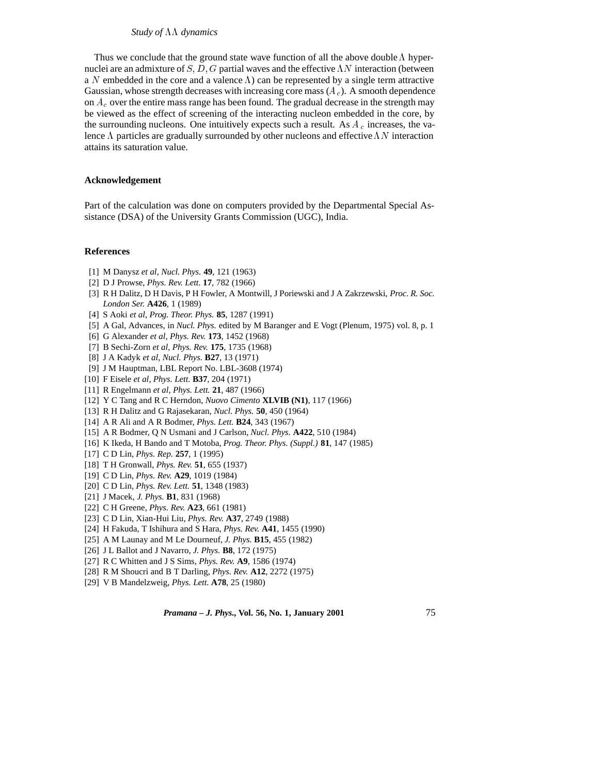Thus we conclude that the ground state wave function of all the above double  $\Lambda$  hypernuclei are an admixture of S, D, G partial waves and the effective  $\Lambda N$  interaction (between a N embedded in the core and a valence  $\Lambda$ ) can be represented by a single term attractive Gaussian, whose strength decreases with increasing core mass  $(A<sub>c</sub>)$ . A smooth dependence on  $A_c$  over the entire mass range has been found. The gradual decrease in the strength may be viewed as the effect of screening of the interacting nucleon embedded in the core, by the surrounding nucleons. One intuitively expects such a result. As  $A_c$  increases, the valence  $\Lambda$  particles are gradually surrounded by other nucleons and effective  $\Lambda N$  interaction attains its saturation value.

#### **Acknowledgement**

Part of the calculation was done on computers provided by the Departmental Special Assistance (DSA) of the University Grants Commission (UGC), India.

#### **References**

- [1] M Danysz *et al*, *Nucl. Phys.* **49**, 121 (1963)
- [2] D J Prowse, *Phys. Rev. Lett.* **17**, 782 (1966)
- [3] R H Dalitz, D H Davis, P H Fowler, A Montwill, J Poriewski and J A Zakrzewski, *Proc. R. Soc. London Ser.* **A426**, 1 (1989)
- [4] S Aoki *et al*, *Prog. Theor. Phys.* **85**, 1287 (1991)
- [5] A Gal, Advances, in *Nucl. Phys.* edited by M Baranger and E Vogt (Plenum, 1975) vol. 8, p. 1
- [6] G Alexander *et al*, *Phys. Rev.* **173**, 1452 (1968)
- [7] B Sechi-Zorn *et al*, *Phys. Rev.* **175**, 1735 (1968)
- [8] J A Kadyk *et al*, *Nucl. Phys.* **B27**, 13 (1971)
- [9] J M Hauptman, LBL Report No. LBL-3608 (1974)
- [10] F Eisele *et al*, *Phys. Lett.* **B37**, 204 (1971)
- [11] R Engelmann *et al*, *Phys. Lett.* **21**, 487 (1966)
- [12] Y C Tang and R C Herndon, *Nuovo Cimento* **XLVIB (N1)**, 117 (1966)
- [13] R H Dalitz and G Rajasekaran, *Nucl. Phys.* **50**, 450 (1964)
- [14] A R Ali and A R Bodmer, *Phys. Lett.* **B24**, 343 (1967)
- [15] A R Bodmer, Q N Usmani and J Carlson, *Nucl. Phys.* **A422**, 510 (1984)
- [16] K Ikeda, H Bando and T Motoba, *Prog. Theor. Phys. (Suppl.)* **81**, 147 (1985)
- [17] C D Lin, *Phys. Rep.* **257**, 1 (1995)
- [18] T H Gronwall, *Phys. Rev.* **51**, 655 (1937)
- [19] C D Lin, *Phys. Rev.* **A29**, 1019 (1984)
- [20] C D Lin, *Phys. Rev. Lett.* **51**, 1348 (1983)
- [21] J Macek, *J. Phys.* **B1**, 831 (1968)
- [22] C H Greene, *Phys. Rev.* **A23**, 661 (1981)
- [23] C D Lin, Xian-Hui Liu, *Phys. Rev.* **A37**, 2749 (1988)
- [24] H Fakuda, T Ishihura and S Hara, *Phys. Rev.* **A41**, 1455 (1990)
- [25] A M Launay and M Le Dourneuf, *J. Phys.* **B15**, 455 (1982)
- [26] J L Ballot and J Navarro, *J. Phys.* **B8**, 172 (1975)
- [27] R C Whitten and J S Sims, *Phys. Rev.* **A9**, 1586 (1974)
- [28] R M Shoucri and B T Darling, *Phys. Rev.* **A12**, 2272 (1975)
- [29] V B Mandelzweig, *Phys. Lett.* **A78**, 25 (1980)